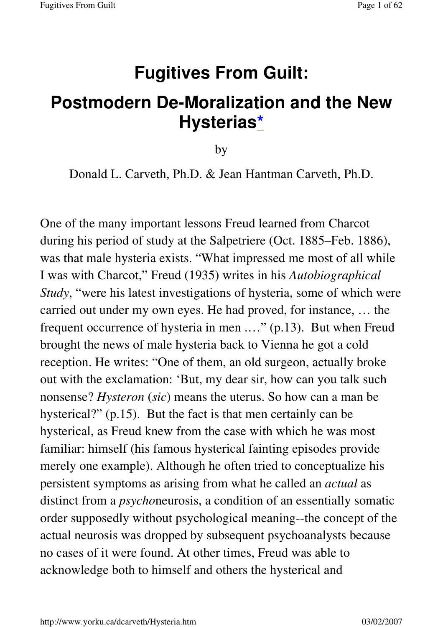# **Fugitives From Guilt:**

## **Postmodern De-Moralization and the New Hysterias\***

by

Donald L. Carveth, Ph.D. & Jean Hantman Carveth, Ph.D.

One of the many important lessons Freud learned from Charcot during his period of study at the Salpetriere (Oct. 1885–Feb. 1886), was that male hysteria exists. "What impressed me most of all while I was with Charcot," Freud (1935) writes in his *Autobiographical Study*, "were his latest investigations of hysteria, some of which were carried out under my own eyes. He had proved, for instance, … the frequent occurrence of hysteria in men .…" (p.13). But when Freud brought the news of male hysteria back to Vienna he got a cold reception. He writes: "One of them, an old surgeon, actually broke out with the exclamation: 'But, my dear sir, how can you talk such nonsense? *Hysteron* (*sic*) means the uterus. So how can a man be hysterical?" (p.15). But the fact is that men certainly can be hysterical, as Freud knew from the case with which he was most familiar: himself (his famous hysterical fainting episodes provide merely one example). Although he often tried to conceptualize his persistent symptoms as arising from what he called an *actual* as distinct from a *psycho*neurosis, a condition of an essentially somatic order supposedly without psychological meaning--the concept of the actual neurosis was dropped by subsequent psychoanalysts because no cases of it were found. At other times, Freud was able to acknowledge both to himself and others the hysterical and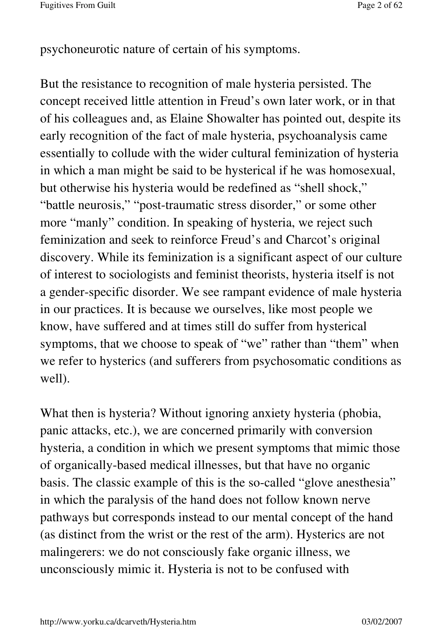psychoneurotic nature of certain of his symptoms.

But the resistance to recognition of male hysteria persisted. The concept received little attention in Freud's own later work, or in that of his colleagues and, as Elaine Showalter has pointed out, despite its early recognition of the fact of male hysteria, psychoanalysis came essentially to collude with the wider cultural feminization of hysteria in which a man might be said to be hysterical if he was homosexual, but otherwise his hysteria would be redefined as "shell shock," "battle neurosis," "post-traumatic stress disorder," or some other more "manly" condition. In speaking of hysteria, we reject such feminization and seek to reinforce Freud's and Charcot's original discovery. While its feminization is a significant aspect of our culture of interest to sociologists and feminist theorists, hysteria itself is not a gender-specific disorder. We see rampant evidence of male hysteria in our practices. It is because we ourselves, like most people we know, have suffered and at times still do suffer from hysterical symptoms, that we choose to speak of "we" rather than "them" when we refer to hysterics (and sufferers from psychosomatic conditions as well).

What then is hysteria? Without ignoring anxiety hysteria (phobia, panic attacks, etc.), we are concerned primarily with conversion hysteria, a condition in which we present symptoms that mimic those of organically-based medical illnesses, but that have no organic basis. The classic example of this is the so-called "glove anesthesia" in which the paralysis of the hand does not follow known nerve pathways but corresponds instead to our mental concept of the hand (as distinct from the wrist or the rest of the arm). Hysterics are not malingerers: we do not consciously fake organic illness, we unconsciously mimic it. Hysteria is not to be confused with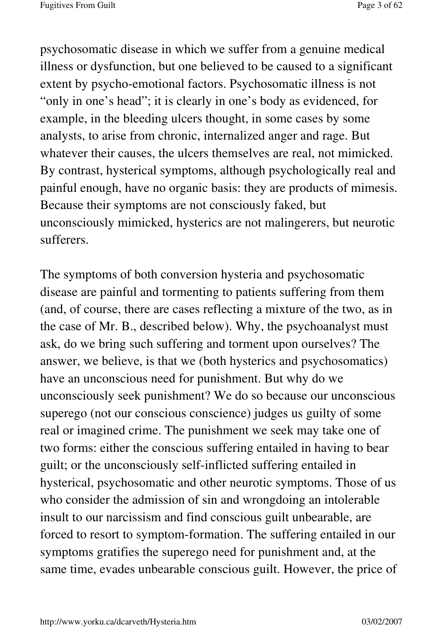psychosomatic disease in which we suffer from a genuine medical illness or dysfunction, but one believed to be caused to a significant extent by psycho-emotional factors. Psychosomatic illness is not "only in one's head"; it is clearly in one's body as evidenced, for example, in the bleeding ulcers thought, in some cases by some analysts, to arise from chronic, internalized anger and rage. But whatever their causes, the ulcers themselves are real, not mimicked. By contrast, hysterical symptoms, although psychologically real and painful enough, have no organic basis: they are products of mimesis. Because their symptoms are not consciously faked, but unconsciously mimicked, hysterics are not malingerers, but neurotic sufferers.

The symptoms of both conversion hysteria and psychosomatic disease are painful and tormenting to patients suffering from them (and, of course, there are cases reflecting a mixture of the two, as in the case of Mr. B., described below). Why, the psychoanalyst must ask, do we bring such suffering and torment upon ourselves? The answer, we believe, is that we (both hysterics and psychosomatics) have an unconscious need for punishment. But why do we unconsciously seek punishment? We do so because our unconscious superego (not our conscious conscience) judges us guilty of some real or imagined crime. The punishment we seek may take one of two forms: either the conscious suffering entailed in having to bear guilt; or the unconsciously self-inflicted suffering entailed in hysterical, psychosomatic and other neurotic symptoms. Those of us who consider the admission of sin and wrongdoing an intolerable insult to our narcissism and find conscious guilt unbearable, are forced to resort to symptom-formation. The suffering entailed in our symptoms gratifies the superego need for punishment and, at the same time, evades unbearable conscious guilt. However, the price of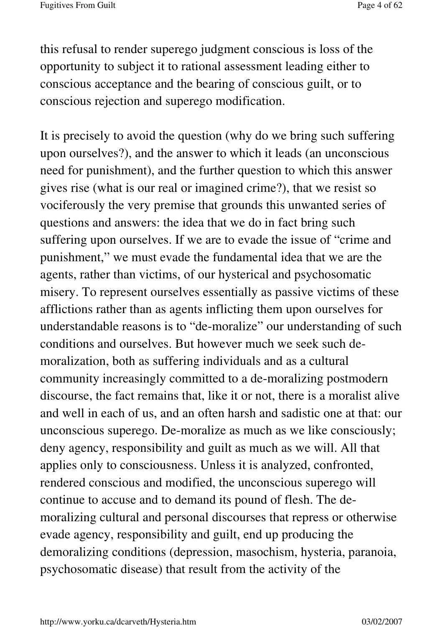this refusal to render superego judgment conscious is loss of the opportunity to subject it to rational assessment leading either to conscious acceptance and the bearing of conscious guilt, or to conscious rejection and superego modification.

It is precisely to avoid the question (why do we bring such suffering upon ourselves?), and the answer to which it leads (an unconscious need for punishment), and the further question to which this answer gives rise (what is our real or imagined crime?), that we resist so vociferously the very premise that grounds this unwanted series of questions and answers: the idea that we do in fact bring such suffering upon ourselves. If we are to evade the issue of "crime and punishment," we must evade the fundamental idea that we are the agents, rather than victims, of our hysterical and psychosomatic misery. To represent ourselves essentially as passive victims of these afflictions rather than as agents inflicting them upon ourselves for understandable reasons is to "de-moralize" our understanding of such conditions and ourselves. But however much we seek such demoralization, both as suffering individuals and as a cultural community increasingly committed to a de-moralizing postmodern discourse, the fact remains that, like it or not, there is a moralist alive and well in each of us, and an often harsh and sadistic one at that: our unconscious superego. De-moralize as much as we like consciously; deny agency, responsibility and guilt as much as we will. All that applies only to consciousness. Unless it is analyzed, confronted, rendered conscious and modified, the unconscious superego will continue to accuse and to demand its pound of flesh. The demoralizing cultural and personal discourses that repress or otherwise evade agency, responsibility and guilt, end up producing the demoralizing conditions (depression, masochism, hysteria, paranoia, psychosomatic disease) that result from the activity of the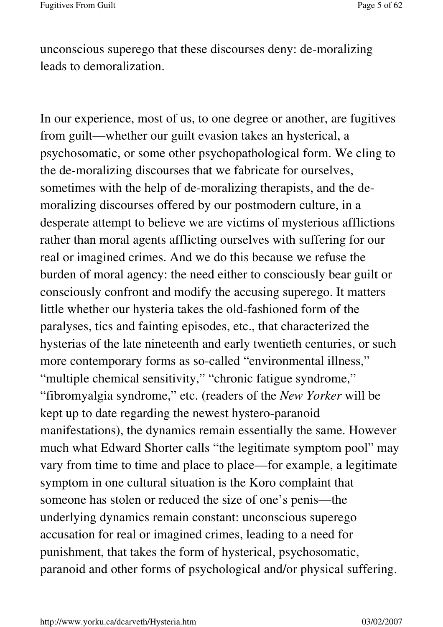unconscious superego that these discourses deny: de-moralizing leads to demoralization.

In our experience, most of us, to one degree or another, are fugitives from guilt—whether our guilt evasion takes an hysterical, a psychosomatic, or some other psychopathological form. We cling to the de-moralizing discourses that we fabricate for ourselves, sometimes with the help of de-moralizing therapists, and the demoralizing discourses offered by our postmodern culture, in a desperate attempt to believe we are victims of mysterious afflictions rather than moral agents afflicting ourselves with suffering for our real or imagined crimes. And we do this because we refuse the burden of moral agency: the need either to consciously bear guilt or consciously confront and modify the accusing superego. It matters little whether our hysteria takes the old-fashioned form of the paralyses, tics and fainting episodes, etc., that characterized the hysterias of the late nineteenth and early twentieth centuries, or such more contemporary forms as so-called "environmental illness," "multiple chemical sensitivity," "chronic fatigue syndrome," "fibromyalgia syndrome," etc. (readers of the *New Yorker* will be kept up to date regarding the newest hystero-paranoid manifestations), the dynamics remain essentially the same. However much what Edward Shorter calls "the legitimate symptom pool" may vary from time to time and place to place—for example, a legitimate symptom in one cultural situation is the Koro complaint that someone has stolen or reduced the size of one's penis—the underlying dynamics remain constant: unconscious superego accusation for real or imagined crimes, leading to a need for punishment, that takes the form of hysterical, psychosomatic, paranoid and other forms of psychological and/or physical suffering.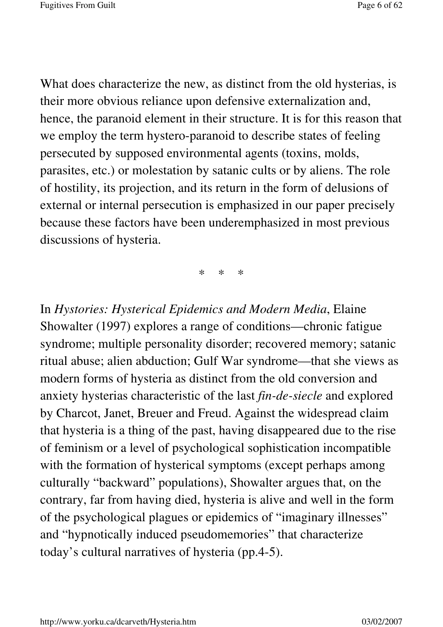What does characterize the new, as distinct from the old hysterias, is their more obvious reliance upon defensive externalization and, hence, the paranoid element in their structure. It is for this reason that we employ the term hystero-paranoid to describe states of feeling persecuted by supposed environmental agents (toxins, molds, parasites, etc.) or molestation by satanic cults or by aliens. The role of hostility, its projection, and its return in the form of delusions of external or internal persecution is emphasized in our paper precisely because these factors have been underemphasized in most previous discussions of hysteria.

\* \* \*

In *Hystories: Hysterical Epidemics and Modern Media*, Elaine Showalter (1997) explores a range of conditions—chronic fatigue syndrome; multiple personality disorder; recovered memory; satanic ritual abuse; alien abduction; Gulf War syndrome—that she views as modern forms of hysteria as distinct from the old conversion and anxiety hysterias characteristic of the last *fin-de-siecle* and explored by Charcot, Janet, Breuer and Freud. Against the widespread claim that hysteria is a thing of the past, having disappeared due to the rise of feminism or a level of psychological sophistication incompatible with the formation of hysterical symptoms (except perhaps among culturally "backward" populations), Showalter argues that, on the contrary, far from having died, hysteria is alive and well in the form of the psychological plagues or epidemics of "imaginary illnesses" and "hypnotically induced pseudomemories" that characterize today's cultural narratives of hysteria (pp.4-5).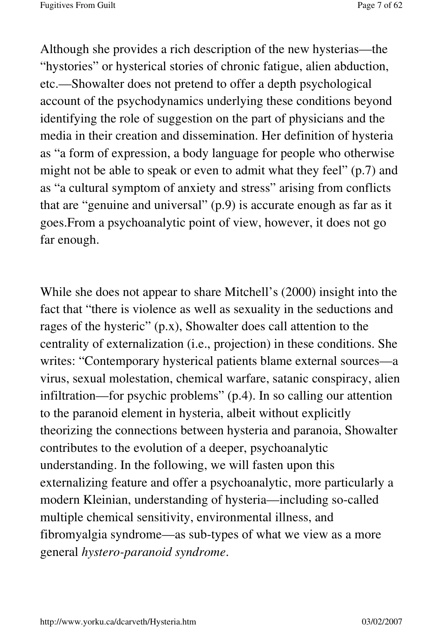Although she provides a rich description of the new hysterias—the "hystories" or hysterical stories of chronic fatigue, alien abduction, etc.—Showalter does not pretend to offer a depth psychological account of the psychodynamics underlying these conditions beyond identifying the role of suggestion on the part of physicians and the media in their creation and dissemination. Her definition of hysteria as "a form of expression, a body language for people who otherwise might not be able to speak or even to admit what they feel" (p.7) and as "a cultural symptom of anxiety and stress" arising from conflicts that are "genuine and universal" (p.9) is accurate enough as far as it goes.From a psychoanalytic point of view, however, it does not go far enough.

While she does not appear to share Mitchell's (2000) insight into the fact that "there is violence as well as sexuality in the seductions and rages of the hysteric" (p.x), Showalter does call attention to the centrality of externalization (i.e., projection) in these conditions. She writes: "Contemporary hysterical patients blame external sources—a virus, sexual molestation, chemical warfare, satanic conspiracy, alien infiltration—for psychic problems" (p.4). In so calling our attention to the paranoid element in hysteria, albeit without explicitly theorizing the connections between hysteria and paranoia, Showalter contributes to the evolution of a deeper, psychoanalytic understanding. In the following, we will fasten upon this externalizing feature and offer a psychoanalytic, more particularly a modern Kleinian, understanding of hysteria—including so-called multiple chemical sensitivity, environmental illness, and fibromyalgia syndrome—as sub-types of what we view as a more general *hystero-paranoid syndrome*.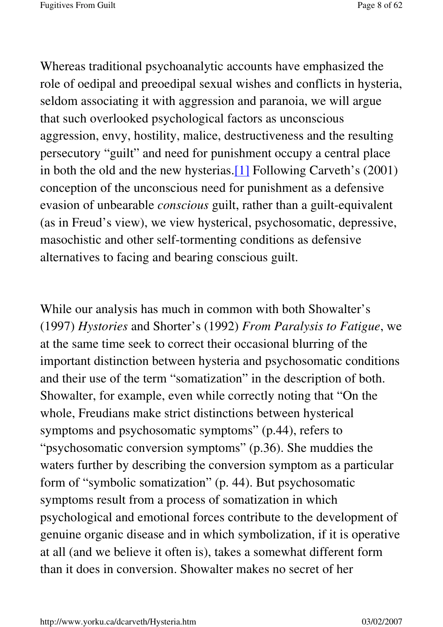Whereas traditional psychoanalytic accounts have emphasized the role of oedipal and preoedipal sexual wishes and conflicts in hysteria, seldom associating it with aggression and paranoia, we will argue that such overlooked psychological factors as unconscious aggression, envy, hostility, malice, destructiveness and the resulting persecutory "guilt" and need for punishment occupy a central place in both the old and the new hysterias.[1] Following Carveth's (2001) conception of the unconscious need for punishment as a defensive evasion of unbearable *conscious* guilt, rather than a guilt-equivalent (as in Freud's view), we view hysterical, psychosomatic, depressive, masochistic and other self-tormenting conditions as defensive alternatives to facing and bearing conscious guilt.

While our analysis has much in common with both Showalter's (1997) *Hystories* and Shorter's (1992) *From Paralysis to Fatigue*, we at the same time seek to correct their occasional blurring of the important distinction between hysteria and psychosomatic conditions and their use of the term "somatization" in the description of both. Showalter, for example, even while correctly noting that "On the whole, Freudians make strict distinctions between hysterical symptoms and psychosomatic symptoms" (p.44), refers to "psychosomatic conversion symptoms" (p.36). She muddies the waters further by describing the conversion symptom as a particular form of "symbolic somatization" (p. 44). But psychosomatic symptoms result from a process of somatization in which psychological and emotional forces contribute to the development of genuine organic disease and in which symbolization, if it is operative at all (and we believe it often is), takes a somewhat different form than it does in conversion. Showalter makes no secret of her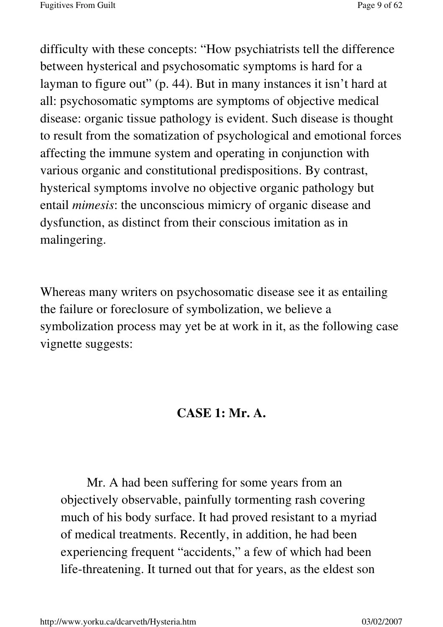difficulty with these concepts: "How psychiatrists tell the difference between hysterical and psychosomatic symptoms is hard for a layman to figure out" (p. 44). But in many instances it isn't hard at all: psychosomatic symptoms are symptoms of objective medical disease: organic tissue pathology is evident. Such disease is thought to result from the somatization of psychological and emotional forces affecting the immune system and operating in conjunction with various organic and constitutional predispositions. By contrast, hysterical symptoms involve no objective organic pathology but entail *mimesis*: the unconscious mimicry of organic disease and dysfunction, as distinct from their conscious imitation as in malingering.

Whereas many writers on psychosomatic disease see it as entailing the failure or foreclosure of symbolization, we believe a symbolization process may yet be at work in it, as the following case vignette suggests:

### **CASE 1: Mr. A.**

Mr. A had been suffering for some years from an objectively observable, painfully tormenting rash covering much of his body surface. It had proved resistant to a myriad of medical treatments. Recently, in addition, he had been experiencing frequent "accidents," a few of which had been life-threatening. It turned out that for years, as the eldest son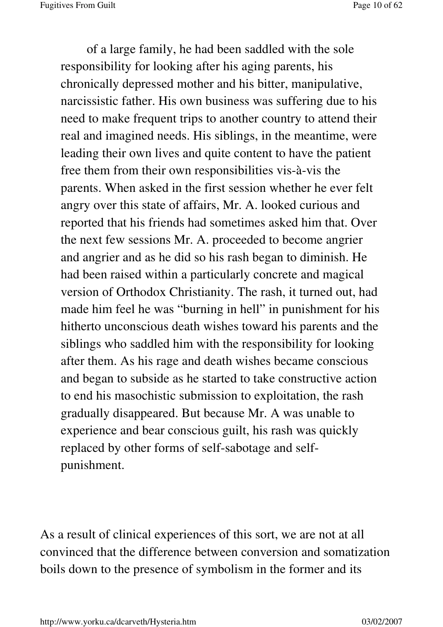of a large family, he had been saddled with the sole responsibility for looking after his aging parents, his chronically depressed mother and his bitter, manipulative, narcissistic father. His own business was suffering due to his need to make frequent trips to another country to attend their real and imagined needs. His siblings, in the meantime, were leading their own lives and quite content to have the patient free them from their own responsibilities vis-à-vis the parents. When asked in the first session whether he ever felt angry over this state of affairs, Mr. A. looked curious and reported that his friends had sometimes asked him that. Over the next few sessions Mr. A. proceeded to become angrier and angrier and as he did so his rash began to diminish. He had been raised within a particularly concrete and magical version of Orthodox Christianity. The rash, it turned out, had made him feel he was "burning in hell" in punishment for his hitherto unconscious death wishes toward his parents and the siblings who saddled him with the responsibility for looking after them. As his rage and death wishes became conscious and began to subside as he started to take constructive action to end his masochistic submission to exploitation, the rash gradually disappeared. But because Mr. A was unable to experience and bear conscious guilt, his rash was quickly replaced by other forms of self-sabotage and selfpunishment.

As a result of clinical experiences of this sort, we are not at all convinced that the difference between conversion and somatization boils down to the presence of symbolism in the former and its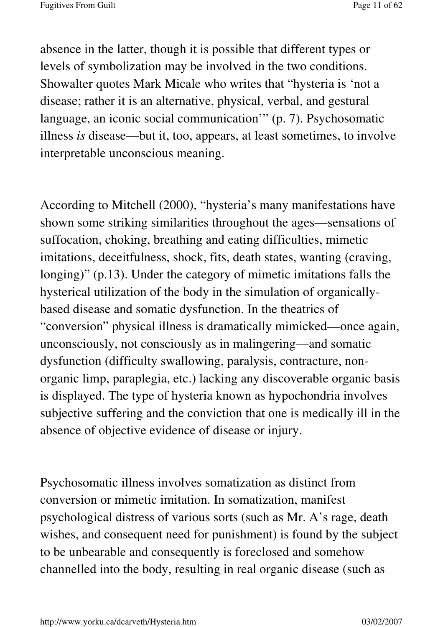absence in the latter, though it is possible that different types or levels of symbolization may be involved in the two conditions. Showalter quotes Mark Micale who writes that "hysteria is 'not a disease; rather it is an alternative, physical, verbal, and gestural language, an iconic social communication'" (p. 7). Psychosomatic illness *is* disease—but it, too, appears, at least sometimes, to involve interpretable unconscious meaning.

According to Mitchell (2000), "hysteria's many manifestations have shown some striking similarities throughout the ages—sensations of suffocation, choking, breathing and eating difficulties, mimetic imitations, deceitfulness, shock, fits, death states, wanting (craving, longing)" (p.13). Under the category of mimetic imitations falls the hysterical utilization of the body in the simulation of organicallybased disease and somatic dysfunction. In the theatrics of "conversion" physical illness is dramatically mimicked—once again, unconsciously, not consciously as in malingering—and somatic dysfunction (difficulty swallowing, paralysis, contracture, nonorganic limp, paraplegia, etc.) lacking any discoverable organic basis is displayed. The type of hysteria known as hypochondria involves subjective suffering and the conviction that one is medically ill in the absence of objective evidence of disease or injury.

Psychosomatic illness involves somatization as distinct from conversion or mimetic imitation. In somatization, manifest psychological distress of various sorts (such as Mr. A's rage, death wishes, and consequent need for punishment) is found by the subject to be unbearable and consequently is foreclosed and somehow channelled into the body, resulting in real organic disease (such as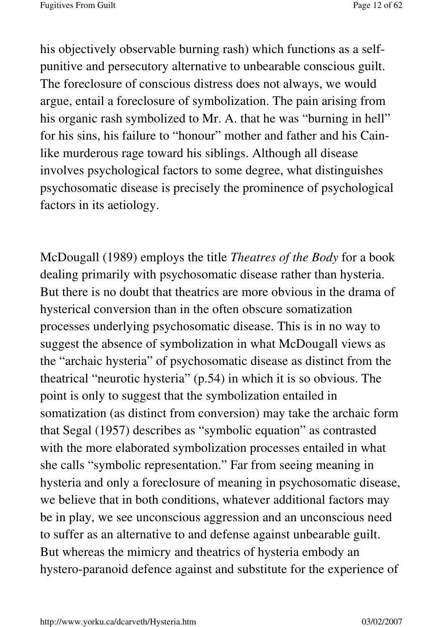his objectively observable burning rash) which functions as a selfpunitive and persecutory alternative to unbearable conscious guilt. The foreclosure of conscious distress does not always, we would argue, entail a foreclosure of symbolization. The pain arising from his organic rash symbolized to Mr. A. that he was "burning in hell" for his sins, his failure to "honour" mother and father and his Cainlike murderous rage toward his siblings. Although all disease involves psychological factors to some degree, what distinguishes psychosomatic disease is precisely the prominence of psychological factors in its aetiology.

McDougall (1989) employs the title *Theatres of the Body* for a book dealing primarily with psychosomatic disease rather than hysteria. But there is no doubt that theatrics are more obvious in the drama of hysterical conversion than in the often obscure somatization processes underlying psychosomatic disease. This is in no way to suggest the absence of symbolization in what McDougall views as the "archaic hysteria" of psychosomatic disease as distinct from the theatrical "neurotic hysteria" (p.54) in which it is so obvious. The point is only to suggest that the symbolization entailed in somatization (as distinct from conversion) may take the archaic form that Segal (1957) describes as "symbolic equation" as contrasted with the more elaborated symbolization processes entailed in what she calls "symbolic representation." Far from seeing meaning in hysteria and only a foreclosure of meaning in psychosomatic disease, we believe that in both conditions, whatever additional factors may be in play, we see unconscious aggression and an unconscious need to suffer as an alternative to and defense against unbearable guilt. But whereas the mimicry and theatrics of hysteria embody an hystero-paranoid defence against and substitute for the experience of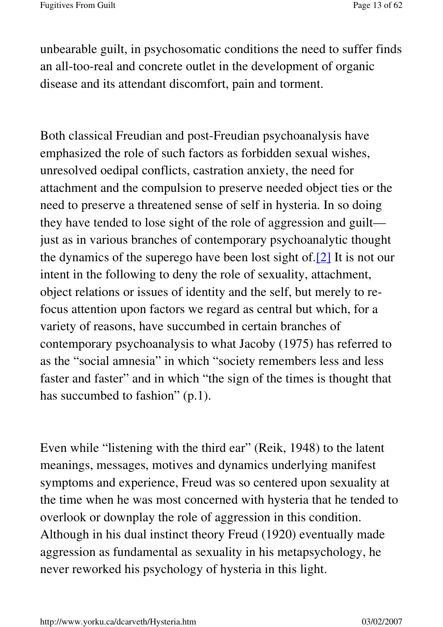unbearable guilt, in psychosomatic conditions the need to suffer finds an all-too-real and concrete outlet in the development of organic disease and its attendant discomfort, pain and torment.

Both classical Freudian and post-Freudian psychoanalysis have emphasized the role of such factors as forbidden sexual wishes, unresolved oedipal conflicts, castration anxiety, the need for attachment and the compulsion to preserve needed object ties or the need to preserve a threatened sense of self in hysteria. In so doing they have tended to lose sight of the role of aggression and guilt just as in various branches of contemporary psychoanalytic thought the dynamics of the superego have been lost sight of.[2] It is not our intent in the following to deny the role of sexuality, attachment, object relations or issues of identity and the self, but merely to refocus attention upon factors we regard as central but which, for a variety of reasons, have succumbed in certain branches of contemporary psychoanalysis to what Jacoby (1975) has referred to as the "social amnesia" in which "society remembers less and less faster and faster" and in which "the sign of the times is thought that has succumbed to fashion" (p.1).

Even while "listening with the third ear" (Reik, 1948) to the latent meanings, messages, motives and dynamics underlying manifest symptoms and experience, Freud was so centered upon sexuality at the time when he was most concerned with hysteria that he tended to overlook or downplay the role of aggression in this condition. Although in his dual instinct theory Freud (1920) eventually made aggression as fundamental as sexuality in his metapsychology, he never reworked his psychology of hysteria in this light.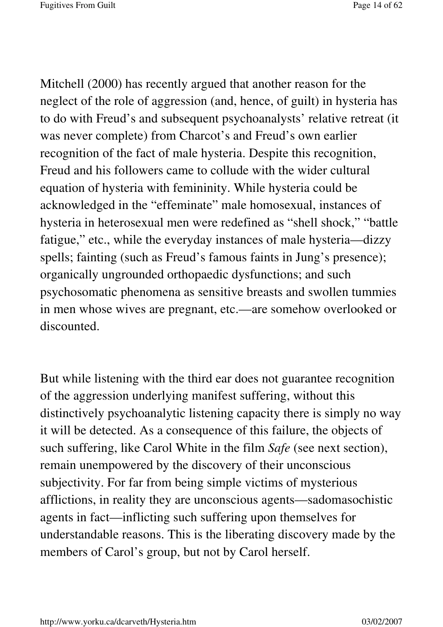Mitchell (2000) has recently argued that another reason for the neglect of the role of aggression (and, hence, of guilt) in hysteria has to do with Freud's and subsequent psychoanalysts' relative retreat (it was never complete) from Charcot's and Freud's own earlier recognition of the fact of male hysteria. Despite this recognition, Freud and his followers came to collude with the wider cultural equation of hysteria with femininity. While hysteria could be acknowledged in the "effeminate" male homosexual, instances of hysteria in heterosexual men were redefined as "shell shock," "battle fatigue," etc., while the everyday instances of male hysteria—dizzy spells; fainting (such as Freud's famous faints in Jung's presence); organically ungrounded orthopaedic dysfunctions; and such psychosomatic phenomena as sensitive breasts and swollen tummies in men whose wives are pregnant, etc.—are somehow overlooked or discounted.

But while listening with the third ear does not guarantee recognition of the aggression underlying manifest suffering, without this distinctively psychoanalytic listening capacity there is simply no way it will be detected. As a consequence of this failure, the objects of such suffering, like Carol White in the film *Safe* (see next section), remain unempowered by the discovery of their unconscious subjectivity. For far from being simple victims of mysterious afflictions, in reality they are unconscious agents—sadomasochistic agents in fact—inflicting such suffering upon themselves for understandable reasons. This is the liberating discovery made by the members of Carol's group, but not by Carol herself.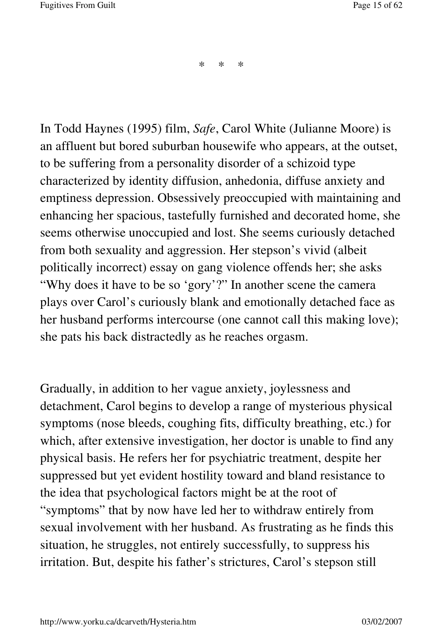\* \* \*

In Todd Haynes (1995) film, *Safe*, Carol White (Julianne Moore) is an affluent but bored suburban housewife who appears, at the outset, to be suffering from a personality disorder of a schizoid type characterized by identity diffusion, anhedonia, diffuse anxiety and emptiness depression. Obsessively preoccupied with maintaining and enhancing her spacious, tastefully furnished and decorated home, she seems otherwise unoccupied and lost. She seems curiously detached from both sexuality and aggression. Her stepson's vivid (albeit politically incorrect) essay on gang violence offends her; she asks "Why does it have to be so 'gory'?" In another scene the camera plays over Carol's curiously blank and emotionally detached face as her husband performs intercourse (one cannot call this making love); she pats his back distractedly as he reaches orgasm.

Gradually, in addition to her vague anxiety, joylessness and detachment, Carol begins to develop a range of mysterious physical symptoms (nose bleeds, coughing fits, difficulty breathing, etc.) for which, after extensive investigation, her doctor is unable to find any physical basis. He refers her for psychiatric treatment, despite her suppressed but yet evident hostility toward and bland resistance to the idea that psychological factors might be at the root of "symptoms" that by now have led her to withdraw entirely from sexual involvement with her husband. As frustrating as he finds this situation, he struggles, not entirely successfully, to suppress his irritation. But, despite his father's strictures, Carol's stepson still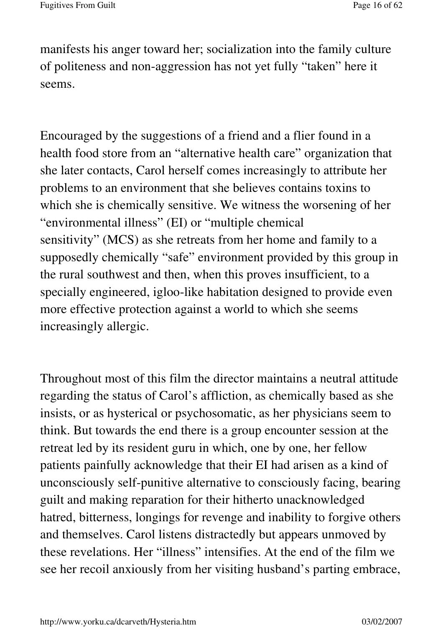manifests his anger toward her; socialization into the family culture of politeness and non-aggression has not yet fully "taken" here it seems.

Encouraged by the suggestions of a friend and a flier found in a health food store from an "alternative health care" organization that she later contacts, Carol herself comes increasingly to attribute her problems to an environment that she believes contains toxins to which she is chemically sensitive. We witness the worsening of her "environmental illness" (EI) or "multiple chemical sensitivity" (MCS) as she retreats from her home and family to a supposedly chemically "safe" environment provided by this group in the rural southwest and then, when this proves insufficient, to a specially engineered, igloo-like habitation designed to provide even more effective protection against a world to which she seems increasingly allergic.

Throughout most of this film the director maintains a neutral attitude regarding the status of Carol's affliction, as chemically based as she insists, or as hysterical or psychosomatic, as her physicians seem to think. But towards the end there is a group encounter session at the retreat led by its resident guru in which, one by one, her fellow patients painfully acknowledge that their EI had arisen as a kind of unconsciously self-punitive alternative to consciously facing, bearing guilt and making reparation for their hitherto unacknowledged hatred, bitterness, longings for revenge and inability to forgive others and themselves. Carol listens distractedly but appears unmoved by these revelations. Her "illness" intensifies. At the end of the film we see her recoil anxiously from her visiting husband's parting embrace,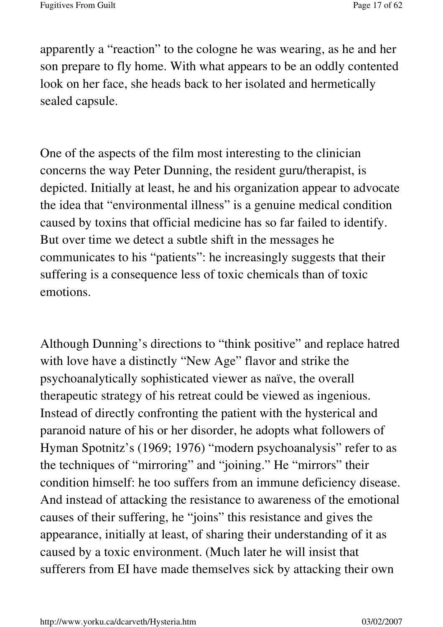apparently a "reaction" to the cologne he was wearing, as he and her son prepare to fly home. With what appears to be an oddly contented look on her face, she heads back to her isolated and hermetically sealed capsule.

One of the aspects of the film most interesting to the clinician concerns the way Peter Dunning, the resident guru/therapist, is depicted. Initially at least, he and his organization appear to advocate the idea that "environmental illness" is a genuine medical condition caused by toxins that official medicine has so far failed to identify. But over time we detect a subtle shift in the messages he communicates to his "patients": he increasingly suggests that their suffering is a consequence less of toxic chemicals than of toxic emotions.

Although Dunning's directions to "think positive" and replace hatred with love have a distinctly "New Age" flavor and strike the psychoanalytically sophisticated viewer as naïve, the overall therapeutic strategy of his retreat could be viewed as ingenious. Instead of directly confronting the patient with the hysterical and paranoid nature of his or her disorder, he adopts what followers of Hyman Spotnitz's (1969; 1976) "modern psychoanalysis" refer to as the techniques of "mirroring" and "joining." He "mirrors" their condition himself: he too suffers from an immune deficiency disease. And instead of attacking the resistance to awareness of the emotional causes of their suffering, he "joins" this resistance and gives the appearance, initially at least, of sharing their understanding of it as caused by a toxic environment. (Much later he will insist that sufferers from EI have made themselves sick by attacking their own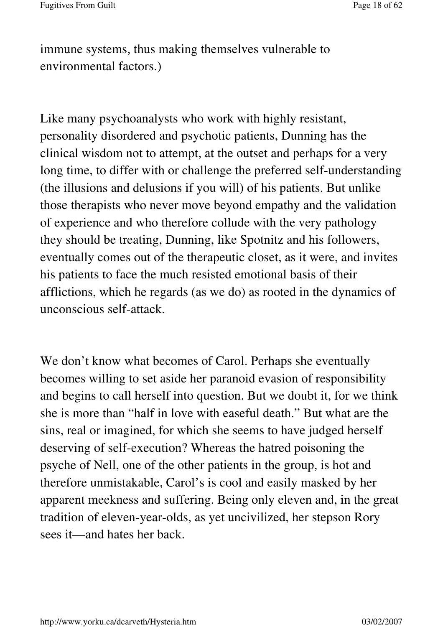immune systems, thus making themselves vulnerable to environmental factors.)

Like many psychoanalysts who work with highly resistant, personality disordered and psychotic patients, Dunning has the clinical wisdom not to attempt, at the outset and perhaps for a very long time, to differ with or challenge the preferred self-understanding (the illusions and delusions if you will) of his patients. But unlike those therapists who never move beyond empathy and the validation of experience and who therefore collude with the very pathology they should be treating, Dunning, like Spotnitz and his followers, eventually comes out of the therapeutic closet, as it were, and invites his patients to face the much resisted emotional basis of their afflictions, which he regards (as we do) as rooted in the dynamics of unconscious self-attack.

We don't know what becomes of Carol. Perhaps she eventually becomes willing to set aside her paranoid evasion of responsibility and begins to call herself into question. But we doubt it, for we think she is more than "half in love with easeful death." But what are the sins, real or imagined, for which she seems to have judged herself deserving of self-execution? Whereas the hatred poisoning the psyche of Nell, one of the other patients in the group, is hot and therefore unmistakable, Carol's is cool and easily masked by her apparent meekness and suffering. Being only eleven and, in the great tradition of eleven-year-olds, as yet uncivilized, her stepson Rory sees it—and hates her back.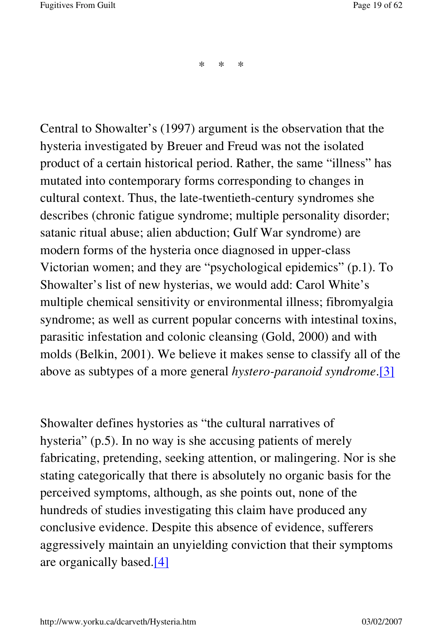\* \* \*

Central to Showalter's (1997) argument is the observation that the hysteria investigated by Breuer and Freud was not the isolated product of a certain historical period. Rather, the same "illness" has mutated into contemporary forms corresponding to changes in cultural context. Thus, the late-twentieth-century syndromes she describes (chronic fatigue syndrome; multiple personality disorder; satanic ritual abuse; alien abduction; Gulf War syndrome) are modern forms of the hysteria once diagnosed in upper-class Victorian women; and they are "psychological epidemics" (p.1). To Showalter's list of new hysterias, we would add: Carol White's multiple chemical sensitivity or environmental illness; fibromyalgia syndrome; as well as current popular concerns with intestinal toxins, parasitic infestation and colonic cleansing (Gold, 2000) and with molds (Belkin, 2001). We believe it makes sense to classify all of the above as subtypes of a more general *hystero-paranoid syndrome*.[3]

Showalter defines hystories as "the cultural narratives of hysteria" (p.5). In no way is she accusing patients of merely fabricating, pretending, seeking attention, or malingering. Nor is she stating categorically that there is absolutely no organic basis for the perceived symptoms, although, as she points out, none of the hundreds of studies investigating this claim have produced any conclusive evidence. Despite this absence of evidence, sufferers aggressively maintain an unyielding conviction that their symptoms are organically based.[4]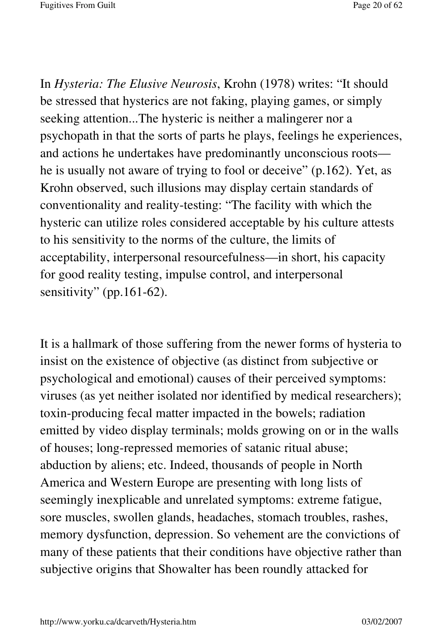In *Hysteria: The Elusive Neurosis*, Krohn (1978) writes: "It should be stressed that hysterics are not faking, playing games, or simply seeking attention...The hysteric is neither a malingerer nor a psychopath in that the sorts of parts he plays, feelings he experiences, and actions he undertakes have predominantly unconscious roots he is usually not aware of trying to fool or deceive" (p.162). Yet, as Krohn observed, such illusions may display certain standards of conventionality and reality-testing: "The facility with which the hysteric can utilize roles considered acceptable by his culture attests to his sensitivity to the norms of the culture, the limits of acceptability, interpersonal resourcefulness—in short, his capacity for good reality testing, impulse control, and interpersonal sensitivity" (pp.161-62).

It is a hallmark of those suffering from the newer forms of hysteria to insist on the existence of objective (as distinct from subjective or psychological and emotional) causes of their perceived symptoms: viruses (as yet neither isolated nor identified by medical researchers); toxin-producing fecal matter impacted in the bowels; radiation emitted by video display terminals; molds growing on or in the walls of houses; long-repressed memories of satanic ritual abuse; abduction by aliens; etc. Indeed, thousands of people in North America and Western Europe are presenting with long lists of seemingly inexplicable and unrelated symptoms: extreme fatigue, sore muscles, swollen glands, headaches, stomach troubles, rashes, memory dysfunction, depression. So vehement are the convictions of many of these patients that their conditions have objective rather than subjective origins that Showalter has been roundly attacked for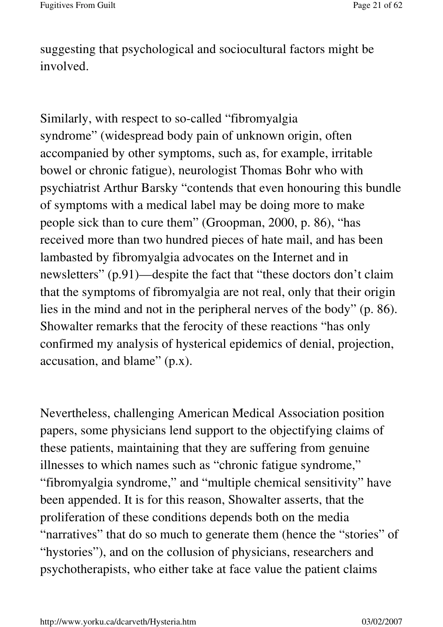suggesting that psychological and sociocultural factors might be involved.

Similarly, with respect to so-called "fibromyalgia syndrome" (widespread body pain of unknown origin, often accompanied by other symptoms, such as, for example, irritable bowel or chronic fatigue), neurologist Thomas Bohr who with psychiatrist Arthur Barsky "contends that even honouring this bundle of symptoms with a medical label may be doing more to make people sick than to cure them" (Groopman, 2000, p. 86), "has received more than two hundred pieces of hate mail, and has been lambasted by fibromyalgia advocates on the Internet and in newsletters" (p.91)—despite the fact that "these doctors don't claim that the symptoms of fibromyalgia are not real, only that their origin lies in the mind and not in the peripheral nerves of the body" (p. 86). Showalter remarks that the ferocity of these reactions "has only confirmed my analysis of hysterical epidemics of denial, projection, accusation, and blame" (p.x).

Nevertheless, challenging American Medical Association position papers, some physicians lend support to the objectifying claims of these patients, maintaining that they are suffering from genuine illnesses to which names such as "chronic fatigue syndrome," "fibromyalgia syndrome," and "multiple chemical sensitivity" have been appended. It is for this reason, Showalter asserts, that the proliferation of these conditions depends both on the media "narratives" that do so much to generate them (hence the "stories" of "hystories"), and on the collusion of physicians, researchers and psychotherapists, who either take at face value the patient claims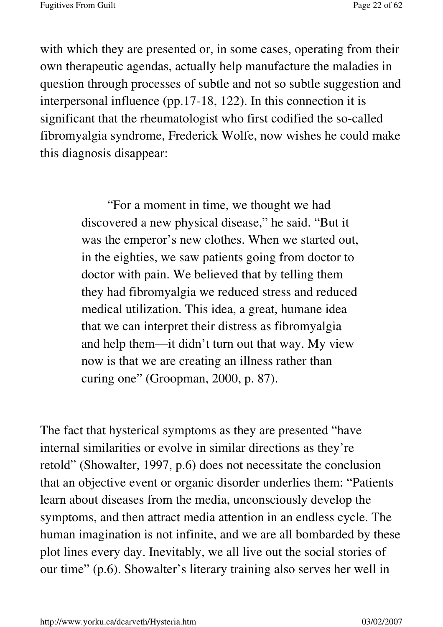with which they are presented or, in some cases, operating from their own therapeutic agendas, actually help manufacture the maladies in question through processes of subtle and not so subtle suggestion and interpersonal influence (pp.17-18, 122). In this connection it is significant that the rheumatologist who first codified the so-called fibromyalgia syndrome, Frederick Wolfe, now wishes he could make this diagnosis disappear:

> "For a moment in time, we thought we had discovered a new physical disease," he said. "But it was the emperor's new clothes. When we started out, in the eighties, we saw patients going from doctor to doctor with pain. We believed that by telling them they had fibromyalgia we reduced stress and reduced medical utilization. This idea, a great, humane idea that we can interpret their distress as fibromyalgia and help them—it didn't turn out that way. My view now is that we are creating an illness rather than curing one" (Groopman, 2000, p. 87).

The fact that hysterical symptoms as they are presented "have internal similarities or evolve in similar directions as they're retold" (Showalter, 1997, p.6) does not necessitate the conclusion that an objective event or organic disorder underlies them: "Patients learn about diseases from the media, unconsciously develop the symptoms, and then attract media attention in an endless cycle. The human imagination is not infinite, and we are all bombarded by these plot lines every day. Inevitably, we all live out the social stories of our time" (p.6). Showalter's literary training also serves her well in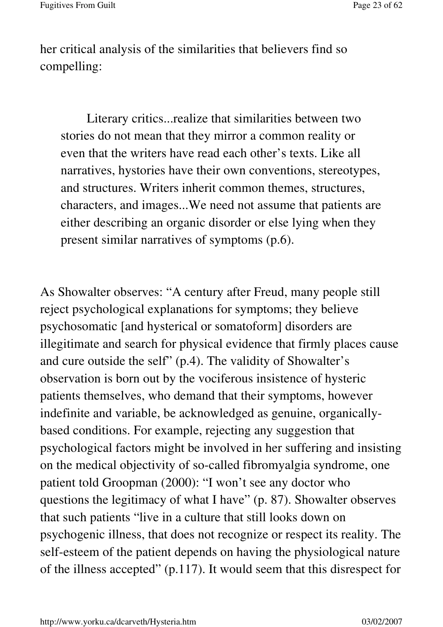her critical analysis of the similarities that believers find so compelling:

Literary critics...realize that similarities between two stories do not mean that they mirror a common reality or even that the writers have read each other's texts. Like all narratives, hystories have their own conventions, stereotypes, and structures. Writers inherit common themes, structures, characters, and images...We need not assume that patients are either describing an organic disorder or else lying when they present similar narratives of symptoms (p.6).

As Showalter observes: "A century after Freud, many people still reject psychological explanations for symptoms; they believe psychosomatic [and hysterical or somatoform] disorders are illegitimate and search for physical evidence that firmly places cause and cure outside the self" (p.4). The validity of Showalter's observation is born out by the vociferous insistence of hysteric patients themselves, who demand that their symptoms, however indefinite and variable, be acknowledged as genuine, organicallybased conditions. For example, rejecting any suggestion that psychological factors might be involved in her suffering and insisting on the medical objectivity of so-called fibromyalgia syndrome, one patient told Groopman (2000): "I won't see any doctor who questions the legitimacy of what I have" (p. 87). Showalter observes that such patients "live in a culture that still looks down on psychogenic illness, that does not recognize or respect its reality. The self-esteem of the patient depends on having the physiological nature of the illness accepted" (p.117). It would seem that this disrespect for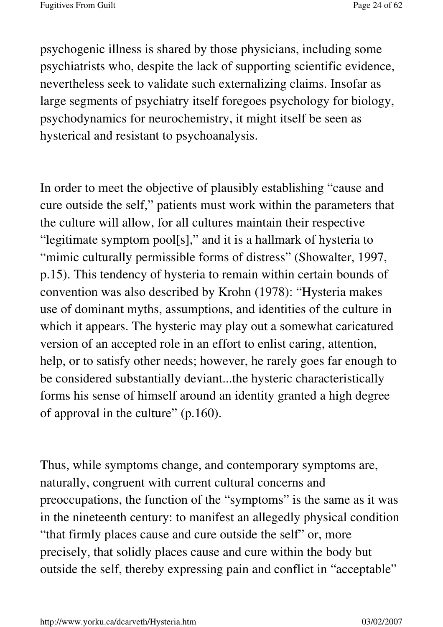psychogenic illness is shared by those physicians, including some psychiatrists who, despite the lack of supporting scientific evidence, nevertheless seek to validate such externalizing claims. Insofar as large segments of psychiatry itself foregoes psychology for biology, psychodynamics for neurochemistry, it might itself be seen as hysterical and resistant to psychoanalysis.

In order to meet the objective of plausibly establishing "cause and cure outside the self," patients must work within the parameters that the culture will allow, for all cultures maintain their respective "legitimate symptom pool[s]," and it is a hallmark of hysteria to "mimic culturally permissible forms of distress" (Showalter, 1997, p.15). This tendency of hysteria to remain within certain bounds of convention was also described by Krohn (1978): "Hysteria makes use of dominant myths, assumptions, and identities of the culture in which it appears. The hysteric may play out a somewhat caricatured version of an accepted role in an effort to enlist caring, attention, help, or to satisfy other needs; however, he rarely goes far enough to be considered substantially deviant...the hysteric characteristically forms his sense of himself around an identity granted a high degree of approval in the culture" (p.160).

Thus, while symptoms change, and contemporary symptoms are, naturally, congruent with current cultural concerns and preoccupations, the function of the "symptoms" is the same as it was in the nineteenth century: to manifest an allegedly physical condition "that firmly places cause and cure outside the self" or, more precisely, that solidly places cause and cure within the body but outside the self, thereby expressing pain and conflict in "acceptable"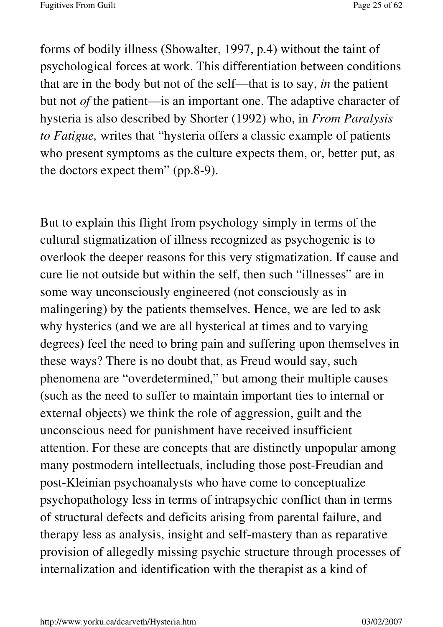forms of bodily illness (Showalter, 1997, p.4) without the taint of psychological forces at work. This differentiation between conditions that are in the body but not of the self—that is to say, *in* the patient but not *of* the patient—is an important one. The adaptive character of hysteria is also described by Shorter (1992) who, in *From Paralysis to Fatigue,* writes that "hysteria offers a classic example of patients who present symptoms as the culture expects them, or, better put, as the doctors expect them" (pp.8-9).

But to explain this flight from psychology simply in terms of the cultural stigmatization of illness recognized as psychogenic is to overlook the deeper reasons for this very stigmatization. If cause and cure lie not outside but within the self, then such "illnesses" are in some way unconsciously engineered (not consciously as in malingering) by the patients themselves. Hence, we are led to ask why hysterics (and we are all hysterical at times and to varying degrees) feel the need to bring pain and suffering upon themselves in these ways? There is no doubt that, as Freud would say, such phenomena are "overdetermined," but among their multiple causes (such as the need to suffer to maintain important ties to internal or external objects) we think the role of aggression, guilt and the unconscious need for punishment have received insufficient attention. For these are concepts that are distinctly unpopular among many postmodern intellectuals, including those post-Freudian and post-Kleinian psychoanalysts who have come to conceptualize psychopathology less in terms of intrapsychic conflict than in terms of structural defects and deficits arising from parental failure, and therapy less as analysis, insight and self-mastery than as reparative provision of allegedly missing psychic structure through processes of internalization and identification with the therapist as a kind of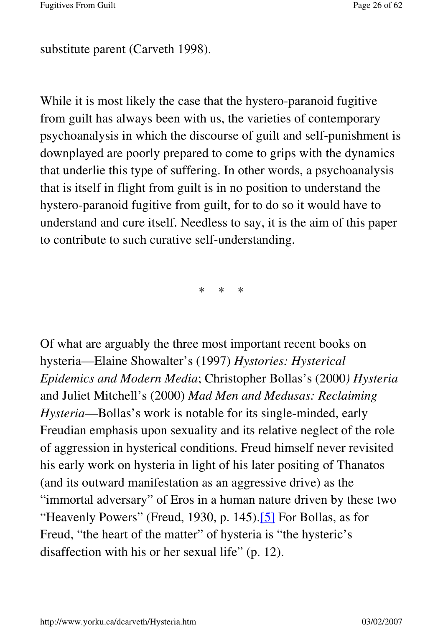substitute parent (Carveth 1998).

While it is most likely the case that the hystero-paranoid fugitive from guilt has always been with us, the varieties of contemporary psychoanalysis in which the discourse of guilt and self-punishment is downplayed are poorly prepared to come to grips with the dynamics that underlie this type of suffering. In other words, a psychoanalysis that is itself in flight from guilt is in no position to understand the hystero-paranoid fugitive from guilt, for to do so it would have to understand and cure itself. Needless to say, it is the aim of this paper to contribute to such curative self-understanding.

\* \* \*

Of what are arguably the three most important recent books on hysteria—Elaine Showalter's (1997) *Hystories: Hysterical Epidemics and Modern Media*; Christopher Bollas's (2000*) Hysteria* and Juliet Mitchell's (2000) *Mad Men and Medusas: Reclaiming Hysteria*—Bollas's work is notable for its single-minded, early Freudian emphasis upon sexuality and its relative neglect of the role of aggression in hysterical conditions. Freud himself never revisited his early work on hysteria in light of his later positing of Thanatos (and its outward manifestation as an aggressive drive) as the "immortal adversary" of Eros in a human nature driven by these two "Heavenly Powers" (Freud, 1930, p. 145).[5] For Bollas, as for Freud, "the heart of the matter" of hysteria is "the hysteric's disaffection with his or her sexual life" (p. 12).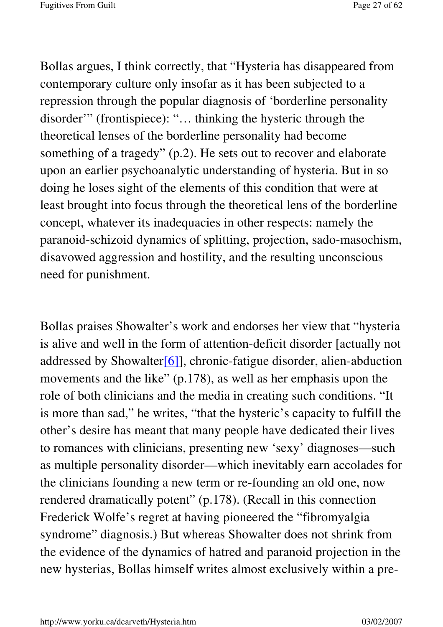Bollas argues, I think correctly, that "Hysteria has disappeared from contemporary culture only insofar as it has been subjected to a repression through the popular diagnosis of 'borderline personality disorder'" (frontispiece): "… thinking the hysteric through the theoretical lenses of the borderline personality had become something of a tragedy" (p.2). He sets out to recover and elaborate upon an earlier psychoanalytic understanding of hysteria. But in so doing he loses sight of the elements of this condition that were at least brought into focus through the theoretical lens of the borderline concept, whatever its inadequacies in other respects: namely the paranoid-schizoid dynamics of splitting, projection, sado-masochism, disavowed aggression and hostility, and the resulting unconscious need for punishment.

Bollas praises Showalter's work and endorses her view that "hysteria is alive and well in the form of attention-deficit disorder [actually not addressed by Showalter[6]], chronic-fatigue disorder, alien-abduction movements and the like" (p.178), as well as her emphasis upon the role of both clinicians and the media in creating such conditions. "It is more than sad," he writes, "that the hysteric's capacity to fulfill the other's desire has meant that many people have dedicated their lives to romances with clinicians, presenting new 'sexy' diagnoses—such as multiple personality disorder—which inevitably earn accolades for the clinicians founding a new term or re-founding an old one, now rendered dramatically potent" (p.178). (Recall in this connection Frederick Wolfe's regret at having pioneered the "fibromyalgia syndrome" diagnosis.) But whereas Showalter does not shrink from the evidence of the dynamics of hatred and paranoid projection in the new hysterias, Bollas himself writes almost exclusively within a pre-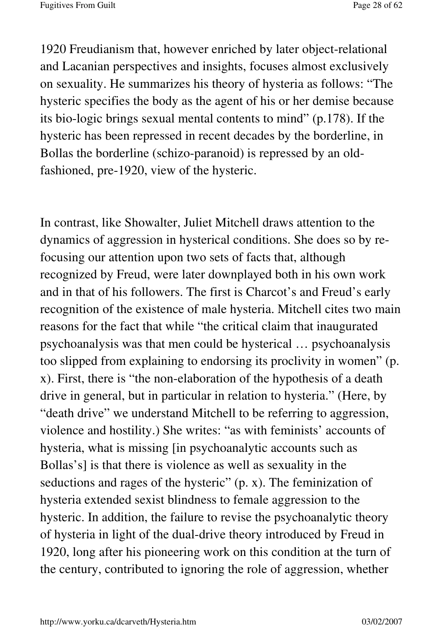1920 Freudianism that, however enriched by later object-relational and Lacanian perspectives and insights, focuses almost exclusively on sexuality. He summarizes his theory of hysteria as follows: "The hysteric specifies the body as the agent of his or her demise because its bio-logic brings sexual mental contents to mind" (p.178). If the hysteric has been repressed in recent decades by the borderline, in Bollas the borderline (schizo-paranoid) is repressed by an oldfashioned, pre-1920, view of the hysteric.

In contrast, like Showalter, Juliet Mitchell draws attention to the dynamics of aggression in hysterical conditions. She does so by refocusing our attention upon two sets of facts that, although recognized by Freud, were later downplayed both in his own work and in that of his followers. The first is Charcot's and Freud's early recognition of the existence of male hysteria. Mitchell cites two main reasons for the fact that while "the critical claim that inaugurated psychoanalysis was that men could be hysterical … psychoanalysis too slipped from explaining to endorsing its proclivity in women" (p. x). First, there is "the non-elaboration of the hypothesis of a death drive in general, but in particular in relation to hysteria." (Here, by "death drive" we understand Mitchell to be referring to aggression, violence and hostility.) She writes: "as with feminists' accounts of hysteria, what is missing [in psychoanalytic accounts such as Bollas's] is that there is violence as well as sexuality in the seductions and rages of the hysteric" (p. x). The feminization of hysteria extended sexist blindness to female aggression to the hysteric. In addition, the failure to revise the psychoanalytic theory of hysteria in light of the dual-drive theory introduced by Freud in 1920, long after his pioneering work on this condition at the turn of the century, contributed to ignoring the role of aggression, whether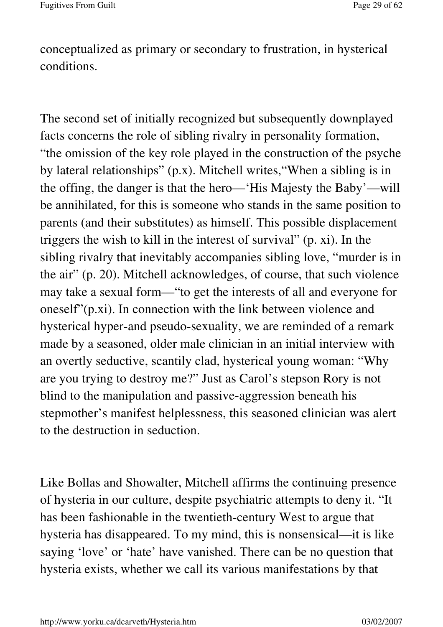conceptualized as primary or secondary to frustration, in hysterical conditions.

The second set of initially recognized but subsequently downplayed facts concerns the role of sibling rivalry in personality formation, "the omission of the key role played in the construction of the psyche by lateral relationships" (p.x). Mitchell writes,"When a sibling is in the offing, the danger is that the hero—'His Majesty the Baby'—will be annihilated, for this is someone who stands in the same position to parents (and their substitutes) as himself. This possible displacement triggers the wish to kill in the interest of survival" (p. xi). In the sibling rivalry that inevitably accompanies sibling love, "murder is in the air" (p. 20). Mitchell acknowledges, of course, that such violence may take a sexual form—"to get the interests of all and everyone for oneself"(p.xi). In connection with the link between violence and hysterical hyper-and pseudo-sexuality, we are reminded of a remark made by a seasoned, older male clinician in an initial interview with an overtly seductive, scantily clad, hysterical young woman: "Why are you trying to destroy me?" Just as Carol's stepson Rory is not blind to the manipulation and passive-aggression beneath his stepmother's manifest helplessness, this seasoned clinician was alert to the destruction in seduction.

Like Bollas and Showalter, Mitchell affirms the continuing presence of hysteria in our culture, despite psychiatric attempts to deny it. "It has been fashionable in the twentieth-century West to argue that hysteria has disappeared. To my mind, this is nonsensical—it is like saying 'love' or 'hate' have vanished. There can be no question that hysteria exists, whether we call its various manifestations by that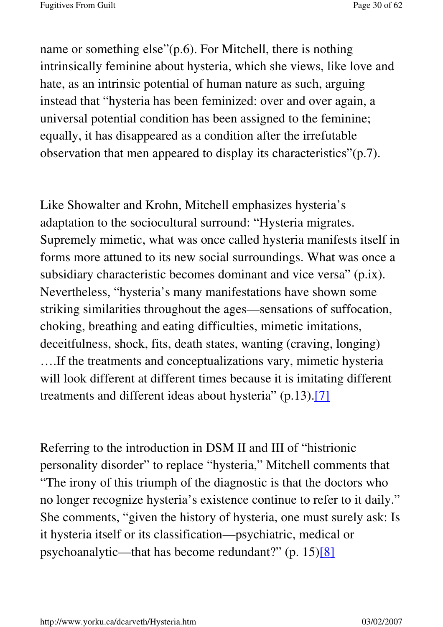name or something else"(p.6). For Mitchell, there is nothing intrinsically feminine about hysteria, which she views, like love and hate, as an intrinsic potential of human nature as such, arguing instead that "hysteria has been feminized: over and over again, a universal potential condition has been assigned to the feminine; equally, it has disappeared as a condition after the irrefutable observation that men appeared to display its characteristics"(p.7).

Like Showalter and Krohn, Mitchell emphasizes hysteria's adaptation to the sociocultural surround: "Hysteria migrates. Supremely mimetic, what was once called hysteria manifests itself in forms more attuned to its new social surroundings. What was once a subsidiary characteristic becomes dominant and vice versa" (p.ix). Nevertheless, "hysteria's many manifestations have shown some striking similarities throughout the ages—sensations of suffocation, choking, breathing and eating difficulties, mimetic imitations, deceitfulness, shock, fits, death states, wanting (craving, longing) ….If the treatments and conceptualizations vary, mimetic hysteria will look different at different times because it is imitating different treatments and different ideas about hysteria" (p.13).[7]

Referring to the introduction in DSM II and III of "histrionic personality disorder" to replace "hysteria," Mitchell comments that "The irony of this triumph of the diagnostic is that the doctors who no longer recognize hysteria's existence continue to refer to it daily." She comments, "given the history of hysteria, one must surely ask: Is it hysteria itself or its classification—psychiatric, medical or psychoanalytic—that has become redundant?" (p. 15)[8]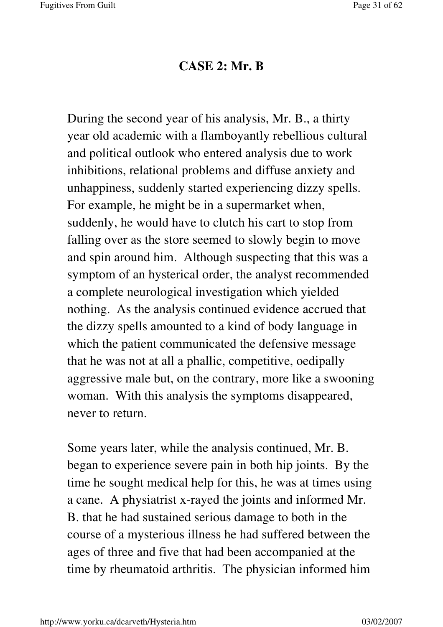#### **CASE 2: Mr. B**

During the second year of his analysis, Mr. B., a thirty year old academic with a flamboyantly rebellious cultural and political outlook who entered analysis due to work inhibitions, relational problems and diffuse anxiety and unhappiness, suddenly started experiencing dizzy spells. For example, he might be in a supermarket when, suddenly, he would have to clutch his cart to stop from falling over as the store seemed to slowly begin to move and spin around him. Although suspecting that this was a symptom of an hysterical order, the analyst recommended a complete neurological investigation which yielded nothing. As the analysis continued evidence accrued that the dizzy spells amounted to a kind of body language in which the patient communicated the defensive message that he was not at all a phallic, competitive, oedipally aggressive male but, on the contrary, more like a swooning woman. With this analysis the symptoms disappeared, never to return.

Some years later, while the analysis continued, Mr. B. began to experience severe pain in both hip joints. By the time he sought medical help for this, he was at times using a cane. A physiatrist x-rayed the joints and informed Mr. B. that he had sustained serious damage to both in the course of a mysterious illness he had suffered between the ages of three and five that had been accompanied at the time by rheumatoid arthritis. The physician informed him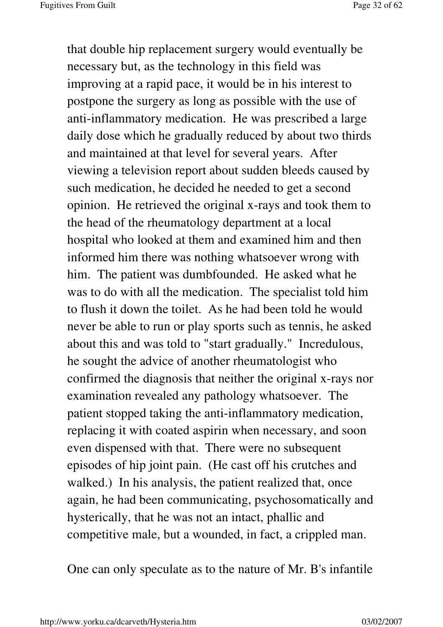that double hip replacement surgery would eventually be necessary but, as the technology in this field was improving at a rapid pace, it would be in his interest to postpone the surgery as long as possible with the use of anti-inflammatory medication. He was prescribed a large daily dose which he gradually reduced by about two thirds and maintained at that level for several years. After viewing a television report about sudden bleeds caused by such medication, he decided he needed to get a second opinion. He retrieved the original x-rays and took them to the head of the rheumatology department at a local hospital who looked at them and examined him and then informed him there was nothing whatsoever wrong with him. The patient was dumbfounded. He asked what he was to do with all the medication. The specialist told him to flush it down the toilet. As he had been told he would never be able to run or play sports such as tennis, he asked about this and was told to "start gradually." Incredulous, he sought the advice of another rheumatologist who confirmed the diagnosis that neither the original x-rays nor examination revealed any pathology whatsoever. The patient stopped taking the anti-inflammatory medication, replacing it with coated aspirin when necessary, and soon even dispensed with that. There were no subsequent episodes of hip joint pain. (He cast off his crutches and walked.) In his analysis, the patient realized that, once again, he had been communicating, psychosomatically and hysterically, that he was not an intact, phallic and competitive male, but a wounded, in fact, a crippled man.

One can only speculate as to the nature of Mr. B's infantile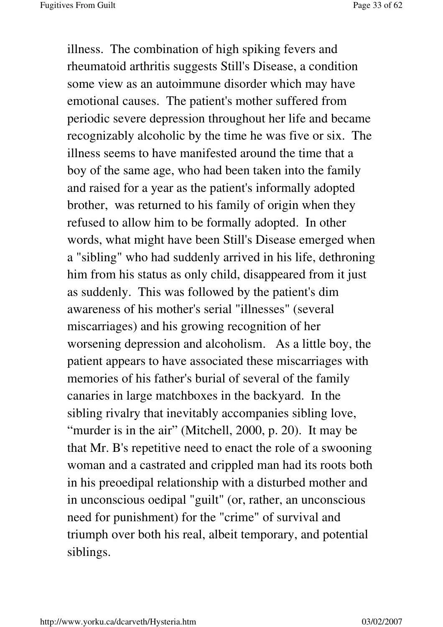illness. The combination of high spiking fevers and rheumatoid arthritis suggests Still's Disease, a condition some view as an autoimmune disorder which may have emotional causes. The patient's mother suffered from periodic severe depression throughout her life and became recognizably alcoholic by the time he was five or six. The illness seems to have manifested around the time that a boy of the same age, who had been taken into the family and raised for a year as the patient's informally adopted brother, was returned to his family of origin when they refused to allow him to be formally adopted. In other words, what might have been Still's Disease emerged when a "sibling" who had suddenly arrived in his life, dethroning him from his status as only child, disappeared from it just as suddenly. This was followed by the patient's dim awareness of his mother's serial "illnesses" (several miscarriages) and his growing recognition of her worsening depression and alcoholism. As a little boy, the patient appears to have associated these miscarriages with memories of his father's burial of several of the family canaries in large matchboxes in the backyard. In the sibling rivalry that inevitably accompanies sibling love, "murder is in the air" (Mitchell, 2000, p. 20). It may be that Mr. B's repetitive need to enact the role of a swooning woman and a castrated and crippled man had its roots both in his preoedipal relationship with a disturbed mother and in unconscious oedipal "guilt" (or, rather, an unconscious need for punishment) for the "crime" of survival and triumph over both his real, albeit temporary, and potential siblings.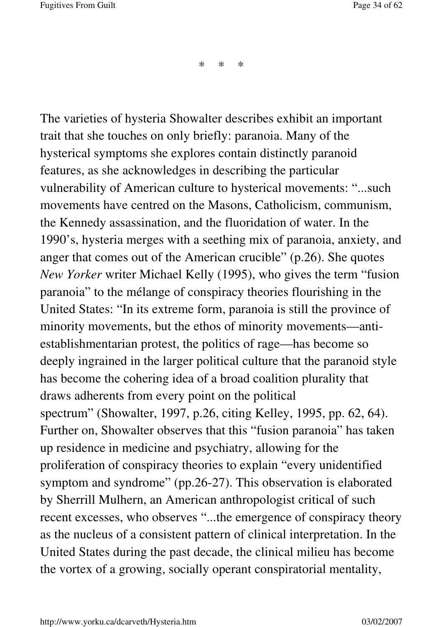\* \* \*

The varieties of hysteria Showalter describes exhibit an important trait that she touches on only briefly: paranoia. Many of the hysterical symptoms she explores contain distinctly paranoid features, as she acknowledges in describing the particular vulnerability of American culture to hysterical movements: "...such movements have centred on the Masons, Catholicism, communism, the Kennedy assassination, and the fluoridation of water. In the 1990's, hysteria merges with a seething mix of paranoia, anxiety, and anger that comes out of the American crucible" (p.26). She quotes *New Yorker* writer Michael Kelly (1995), who gives the term "fusion paranoia" to the mélange of conspiracy theories flourishing in the United States: "In its extreme form, paranoia is still the province of minority movements, but the ethos of minority movements—antiestablishmentarian protest, the politics of rage—has become so deeply ingrained in the larger political culture that the paranoid style has become the cohering idea of a broad coalition plurality that draws adherents from every point on the political spectrum" (Showalter, 1997, p.26, citing Kelley, 1995, pp. 62, 64). Further on, Showalter observes that this "fusion paranoia" has taken up residence in medicine and psychiatry, allowing for the proliferation of conspiracy theories to explain "every unidentified symptom and syndrome" (pp.26-27). This observation is elaborated by Sherrill Mulhern, an American anthropologist critical of such recent excesses, who observes "...the emergence of conspiracy theory as the nucleus of a consistent pattern of clinical interpretation. In the United States during the past decade, the clinical milieu has become the vortex of a growing, socially operant conspiratorial mentality,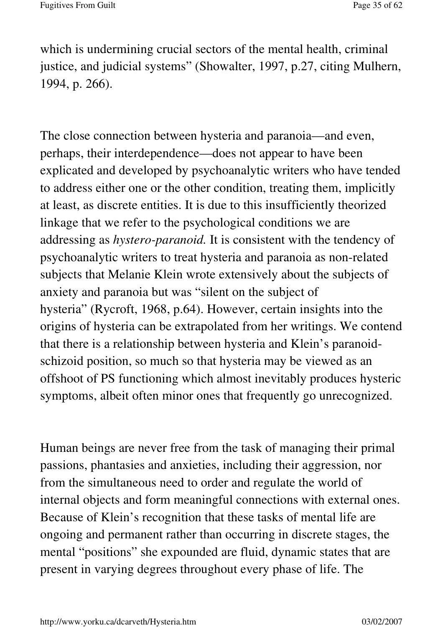which is undermining crucial sectors of the mental health, criminal justice, and judicial systems" (Showalter, 1997, p.27, citing Mulhern, 1994, p. 266).

The close connection between hysteria and paranoia—and even, perhaps, their interdependence—does not appear to have been explicated and developed by psychoanalytic writers who have tended to address either one or the other condition, treating them, implicitly at least, as discrete entities. It is due to this insufficiently theorized linkage that we refer to the psychological conditions we are addressing as *hystero-paranoid.* It is consistent with the tendency of psychoanalytic writers to treat hysteria and paranoia as non-related subjects that Melanie Klein wrote extensively about the subjects of anxiety and paranoia but was "silent on the subject of hysteria" (Rycroft, 1968, p.64). However, certain insights into the origins of hysteria can be extrapolated from her writings. We contend that there is a relationship between hysteria and Klein's paranoidschizoid position, so much so that hysteria may be viewed as an offshoot of PS functioning which almost inevitably produces hysteric symptoms, albeit often minor ones that frequently go unrecognized.

Human beings are never free from the task of managing their primal passions, phantasies and anxieties, including their aggression, nor from the simultaneous need to order and regulate the world of internal objects and form meaningful connections with external ones. Because of Klein's recognition that these tasks of mental life are ongoing and permanent rather than occurring in discrete stages, the mental "positions" she expounded are fluid, dynamic states that are present in varying degrees throughout every phase of life. The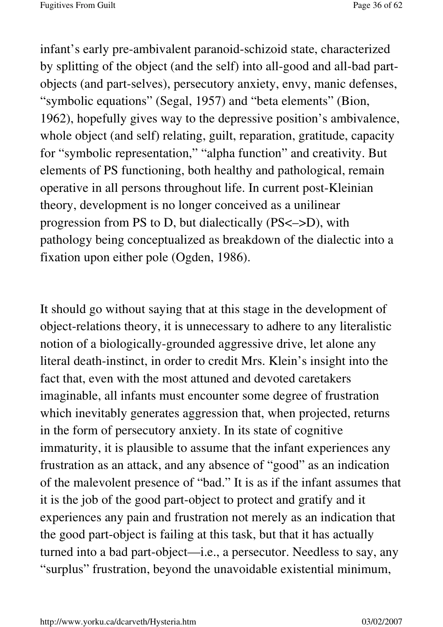infant's early pre-ambivalent paranoid-schizoid state, characterized by splitting of the object (and the self) into all-good and all-bad partobjects (and part-selves), persecutory anxiety, envy, manic defenses, "symbolic equations" (Segal, 1957) and "beta elements" (Bion, 1962), hopefully gives way to the depressive position's ambivalence, whole object (and self) relating, guilt, reparation, gratitude, capacity for "symbolic representation," "alpha function" and creativity. But elements of PS functioning, both healthy and pathological, remain operative in all persons throughout life. In current post-Kleinian theory, development is no longer conceived as a unilinear progression from PS to D, but dialectically (PS<–>D), with pathology being conceptualized as breakdown of the dialectic into a fixation upon either pole (Ogden, 1986).

It should go without saying that at this stage in the development of object-relations theory, it is unnecessary to adhere to any literalistic notion of a biologically-grounded aggressive drive, let alone any literal death-instinct, in order to credit Mrs. Klein's insight into the fact that, even with the most attuned and devoted caretakers imaginable, all infants must encounter some degree of frustration which inevitably generates aggression that, when projected, returns in the form of persecutory anxiety. In its state of cognitive immaturity, it is plausible to assume that the infant experiences any frustration as an attack, and any absence of "good" as an indication of the malevolent presence of "bad." It is as if the infant assumes that it is the job of the good part-object to protect and gratify and it experiences any pain and frustration not merely as an indication that the good part-object is failing at this task, but that it has actually turned into a bad part-object—i.e., a persecutor. Needless to say, any "surplus" frustration, beyond the unavoidable existential minimum,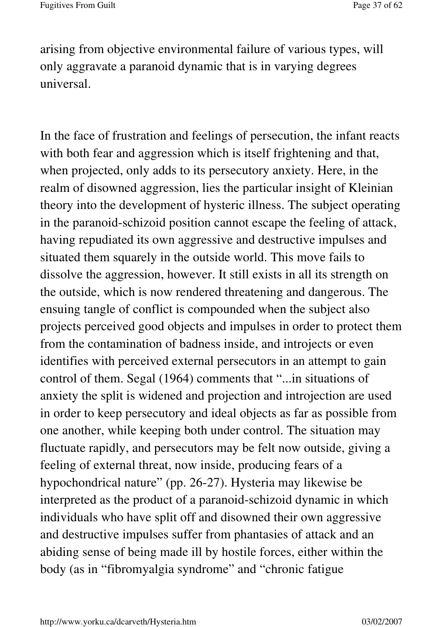arising from objective environmental failure of various types, will only aggravate a paranoid dynamic that is in varying degrees universal.

In the face of frustration and feelings of persecution, the infant reacts with both fear and aggression which is itself frightening and that, when projected, only adds to its persecutory anxiety. Here, in the realm of disowned aggression, lies the particular insight of Kleinian theory into the development of hysteric illness. The subject operating in the paranoid-schizoid position cannot escape the feeling of attack, having repudiated its own aggressive and destructive impulses and situated them squarely in the outside world. This move fails to dissolve the aggression, however. It still exists in all its strength on the outside, which is now rendered threatening and dangerous. The ensuing tangle of conflict is compounded when the subject also projects perceived good objects and impulses in order to protect them from the contamination of badness inside, and introjects or even identifies with perceived external persecutors in an attempt to gain control of them. Segal (1964) comments that "...in situations of anxiety the split is widened and projection and introjection are used in order to keep persecutory and ideal objects as far as possible from one another, while keeping both under control. The situation may fluctuate rapidly, and persecutors may be felt now outside, giving a feeling of external threat, now inside, producing fears of a hypochondrical nature" (pp. 26-27). Hysteria may likewise be interpreted as the product of a paranoid-schizoid dynamic in which individuals who have split off and disowned their own aggressive and destructive impulses suffer from phantasies of attack and an abiding sense of being made ill by hostile forces, either within the body (as in "fibromyalgia syndrome" and "chronic fatigue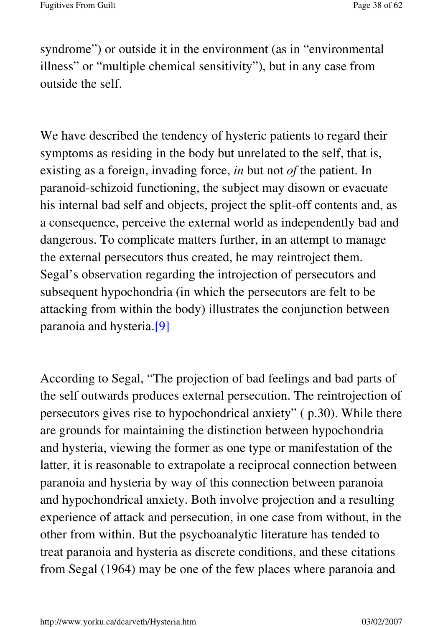syndrome") or outside it in the environment (as in "environmental" illness" or "multiple chemical sensitivity"), but in any case from outside the self.

We have described the tendency of hysteric patients to regard their symptoms as residing in the body but unrelated to the self, that is, existing as a foreign, invading force, *in* but not *of* the patient. In paranoid-schizoid functioning, the subject may disown or evacuate his internal bad self and objects, project the split-off contents and, as a consequence, perceive the external world as independently bad and dangerous. To complicate matters further, in an attempt to manage the external persecutors thus created, he may reintroject them. Segal's observation regarding the introjection of persecutors and subsequent hypochondria (in which the persecutors are felt to be attacking from within the body) illustrates the conjunction between paranoia and hysteria.[9]

According to Segal, "The projection of bad feelings and bad parts of the self outwards produces external persecution. The reintrojection of persecutors gives rise to hypochondrical anxiety" ( p.30). While there are grounds for maintaining the distinction between hypochondria and hysteria, viewing the former as one type or manifestation of the latter, it is reasonable to extrapolate a reciprocal connection between paranoia and hysteria by way of this connection between paranoia and hypochondrical anxiety. Both involve projection and a resulting experience of attack and persecution, in one case from without, in the other from within. But the psychoanalytic literature has tended to treat paranoia and hysteria as discrete conditions, and these citations from Segal (1964) may be one of the few places where paranoia and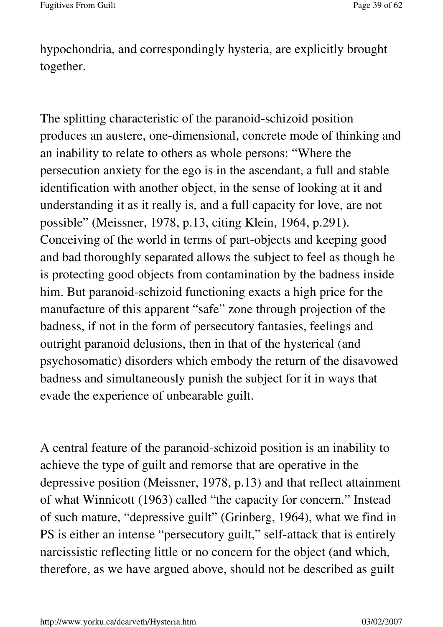hypochondria, and correspondingly hysteria, are explicitly brought together.

The splitting characteristic of the paranoid-schizoid position produces an austere, one-dimensional, concrete mode of thinking and an inability to relate to others as whole persons: "Where the persecution anxiety for the ego is in the ascendant, a full and stable identification with another object, in the sense of looking at it and understanding it as it really is, and a full capacity for love, are not possible" (Meissner, 1978, p.13, citing Klein, 1964, p.291). Conceiving of the world in terms of part-objects and keeping good and bad thoroughly separated allows the subject to feel as though he is protecting good objects from contamination by the badness inside him. But paranoid-schizoid functioning exacts a high price for the manufacture of this apparent "safe" zone through projection of the badness, if not in the form of persecutory fantasies, feelings and outright paranoid delusions, then in that of the hysterical (and psychosomatic) disorders which embody the return of the disavowed badness and simultaneously punish the subject for it in ways that evade the experience of unbearable guilt.

A central feature of the paranoid-schizoid position is an inability to achieve the type of guilt and remorse that are operative in the depressive position (Meissner, 1978, p.13) and that reflect attainment of what Winnicott (1963) called "the capacity for concern." Instead of such mature, "depressive guilt" (Grinberg, 1964), what we find in PS is either an intense "persecutory guilt," self-attack that is entirely narcissistic reflecting little or no concern for the object (and which, therefore, as we have argued above, should not be described as guilt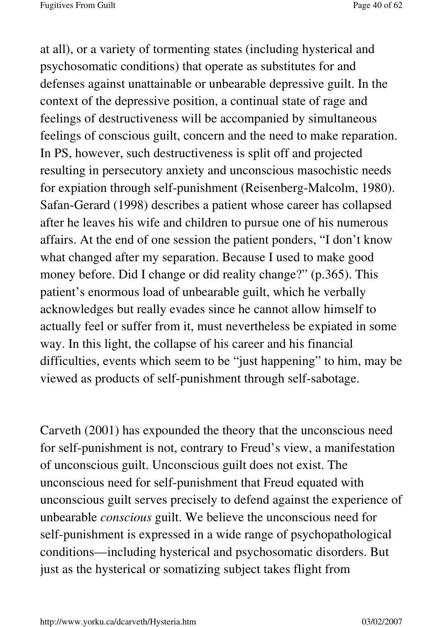at all), or a variety of tormenting states (including hysterical and psychosomatic conditions) that operate as substitutes for and defenses against unattainable or unbearable depressive guilt. In the context of the depressive position, a continual state of rage and feelings of destructiveness will be accompanied by simultaneous feelings of conscious guilt, concern and the need to make reparation. In PS, however, such destructiveness is split off and projected resulting in persecutory anxiety and unconscious masochistic needs for expiation through self-punishment (Reisenberg-Malcolm, 1980). Safan-Gerard (1998) describes a patient whose career has collapsed after he leaves his wife and children to pursue one of his numerous affairs. At the end of one session the patient ponders, "I don't know what changed after my separation. Because I used to make good money before. Did I change or did reality change?" (p.365). This patient's enormous load of unbearable guilt, which he verbally acknowledges but really evades since he cannot allow himself to actually feel or suffer from it, must nevertheless be expiated in some way. In this light, the collapse of his career and his financial difficulties, events which seem to be "just happening" to him, may be viewed as products of self-punishment through self-sabotage.

Carveth (2001) has expounded the theory that the unconscious need for self-punishment is not, contrary to Freud's view, a manifestation of unconscious guilt. Unconscious guilt does not exist. The unconscious need for self-punishment that Freud equated with unconscious guilt serves precisely to defend against the experience of unbearable *conscious* guilt. We believe the unconscious need for self-punishment is expressed in a wide range of psychopathological conditions—including hysterical and psychosomatic disorders. But just as the hysterical or somatizing subject takes flight from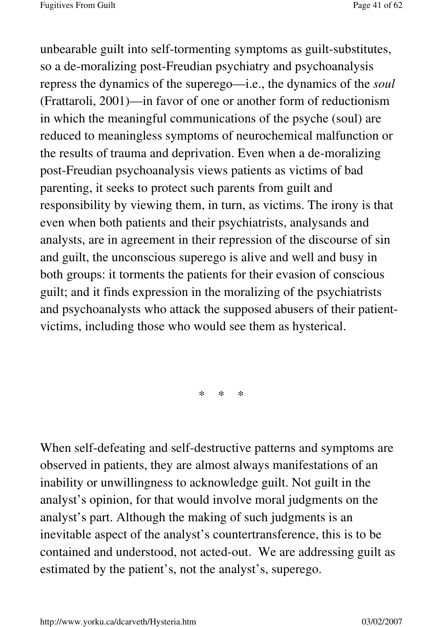unbearable guilt into self-tormenting symptoms as guilt-substitutes, so a de-moralizing post-Freudian psychiatry and psychoanalysis repress the dynamics of the superego—i.e., the dynamics of the *soul*  (Frattaroli, 2001)—in favor of one or another form of reductionism in which the meaningful communications of the psyche (soul) are reduced to meaningless symptoms of neurochemical malfunction or the results of trauma and deprivation. Even when a de-moralizing post-Freudian psychoanalysis views patients as victims of bad parenting, it seeks to protect such parents from guilt and responsibility by viewing them, in turn, as victims. The irony is that even when both patients and their psychiatrists, analysands and analysts, are in agreement in their repression of the discourse of sin and guilt, the unconscious superego is alive and well and busy in both groups: it torments the patients for their evasion of conscious guilt; and it finds expression in the moralizing of the psychiatrists and psychoanalysts who attack the supposed abusers of their patientvictims, including those who would see them as hysterical.

\* \* \*

When self-defeating and self-destructive patterns and symptoms are observed in patients, they are almost always manifestations of an inability or unwillingness to acknowledge guilt. Not guilt in the analyst's opinion, for that would involve moral judgments on the analyst's part. Although the making of such judgments is an inevitable aspect of the analyst's countertransference, this is to be contained and understood, not acted-out. We are addressing guilt as estimated by the patient's, not the analyst's, superego.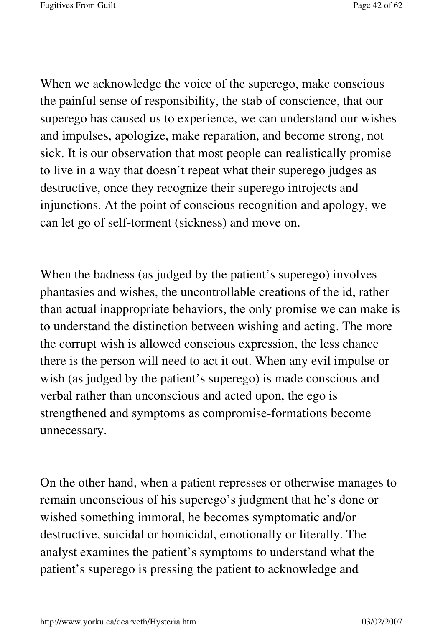When we acknowledge the voice of the superego, make conscious the painful sense of responsibility, the stab of conscience, that our superego has caused us to experience, we can understand our wishes and impulses, apologize, make reparation, and become strong, not sick. It is our observation that most people can realistically promise to live in a way that doesn't repeat what their superego judges as destructive, once they recognize their superego introjects and injunctions. At the point of conscious recognition and apology, we can let go of self-torment (sickness) and move on.

When the badness (as judged by the patient's superego) involves phantasies and wishes, the uncontrollable creations of the id, rather than actual inappropriate behaviors, the only promise we can make is to understand the distinction between wishing and acting. The more the corrupt wish is allowed conscious expression, the less chance there is the person will need to act it out. When any evil impulse or wish (as judged by the patient's superego) is made conscious and verbal rather than unconscious and acted upon, the ego is strengthened and symptoms as compromise-formations become unnecessary.

On the other hand, when a patient represses or otherwise manages to remain unconscious of his superego's judgment that he's done or wished something immoral, he becomes symptomatic and/or destructive, suicidal or homicidal, emotionally or literally. The analyst examines the patient's symptoms to understand what the patient's superego is pressing the patient to acknowledge and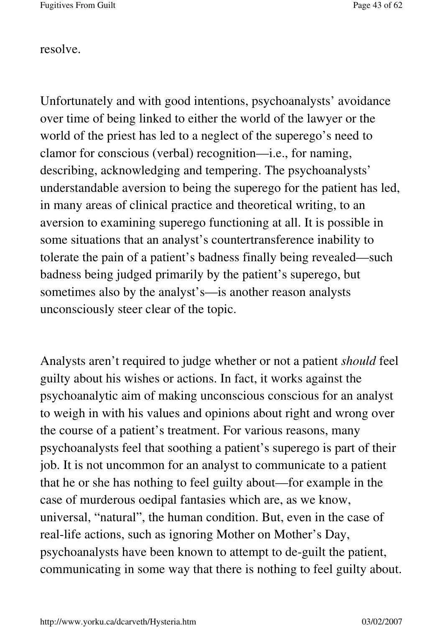Fugitives From Guilt Page 43 of 62

resolve.

Unfortunately and with good intentions, psychoanalysts' avoidance over time of being linked to either the world of the lawyer or the world of the priest has led to a neglect of the superego's need to clamor for conscious (verbal) recognition—i.e., for naming, describing, acknowledging and tempering. The psychoanalysts' understandable aversion to being the superego for the patient has led, in many areas of clinical practice and theoretical writing, to an aversion to examining superego functioning at all. It is possible in some situations that an analyst's countertransference inability to tolerate the pain of a patient's badness finally being revealed—such badness being judged primarily by the patient's superego, but sometimes also by the analyst's—is another reason analysts unconsciously steer clear of the topic.

Analysts aren't required to judge whether or not a patient *should* feel guilty about his wishes or actions. In fact, it works against the psychoanalytic aim of making unconscious conscious for an analyst to weigh in with his values and opinions about right and wrong over the course of a patient's treatment. For various reasons, many psychoanalysts feel that soothing a patient's superego is part of their job. It is not uncommon for an analyst to communicate to a patient that he or she has nothing to feel guilty about—for example in the case of murderous oedipal fantasies which are, as we know, universal, "natural", the human condition. But, even in the case of real-life actions, such as ignoring Mother on Mother's Day, psychoanalysts have been known to attempt to de-guilt the patient, communicating in some way that there is nothing to feel guilty about.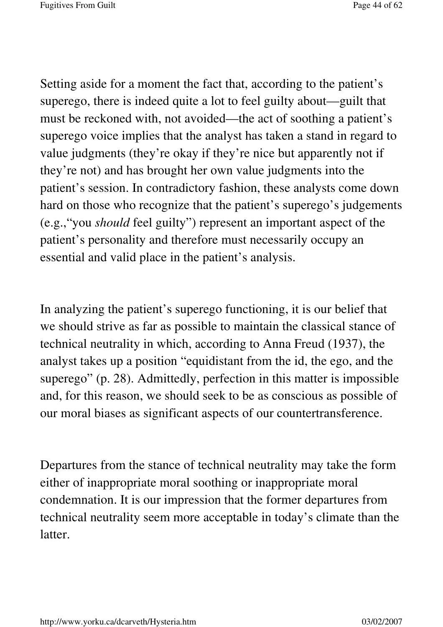Setting aside for a moment the fact that, according to the patient's superego, there is indeed quite a lot to feel guilty about—guilt that must be reckoned with, not avoided—the act of soothing a patient's superego voice implies that the analyst has taken a stand in regard to value judgments (they're okay if they're nice but apparently not if they're not) and has brought her own value judgments into the patient's session. In contradictory fashion, these analysts come down hard on those who recognize that the patient's superego's judgements (e.g.,"you *should* feel guilty") represent an important aspect of the patient's personality and therefore must necessarily occupy an essential and valid place in the patient's analysis.

In analyzing the patient's superego functioning, it is our belief that we should strive as far as possible to maintain the classical stance of technical neutrality in which, according to Anna Freud (1937), the analyst takes up a position "equidistant from the id, the ego, and the superego" (p. 28). Admittedly, perfection in this matter is impossible and, for this reason, we should seek to be as conscious as possible of our moral biases as significant aspects of our countertransference.

Departures from the stance of technical neutrality may take the form either of inappropriate moral soothing or inappropriate moral condemnation. It is our impression that the former departures from technical neutrality seem more acceptable in today's climate than the latter.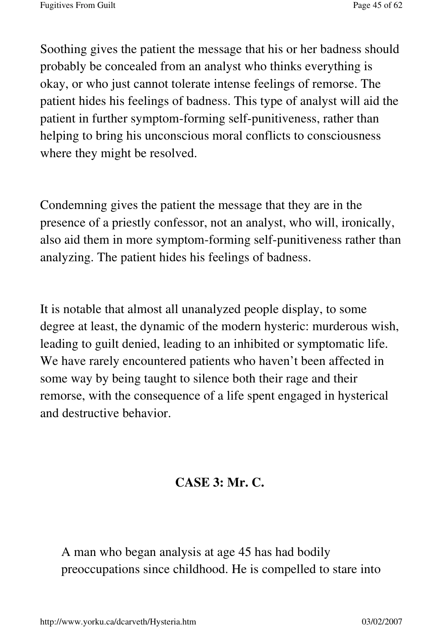Soothing gives the patient the message that his or her badness should probably be concealed from an analyst who thinks everything is okay, or who just cannot tolerate intense feelings of remorse. The patient hides his feelings of badness. This type of analyst will aid the patient in further symptom-forming self-punitiveness, rather than helping to bring his unconscious moral conflicts to consciousness where they might be resolved.

Condemning gives the patient the message that they are in the presence of a priestly confessor, not an analyst, who will, ironically, also aid them in more symptom-forming self-punitiveness rather than analyzing. The patient hides his feelings of badness.

It is notable that almost all unanalyzed people display, to some degree at least, the dynamic of the modern hysteric: murderous wish, leading to guilt denied, leading to an inhibited or symptomatic life. We have rarely encountered patients who haven't been affected in some way by being taught to silence both their rage and their remorse, with the consequence of a life spent engaged in hysterical and destructive behavior.

## **CASE 3: Mr. C.**

A man who began analysis at age 45 has had bodily preoccupations since childhood. He is compelled to stare into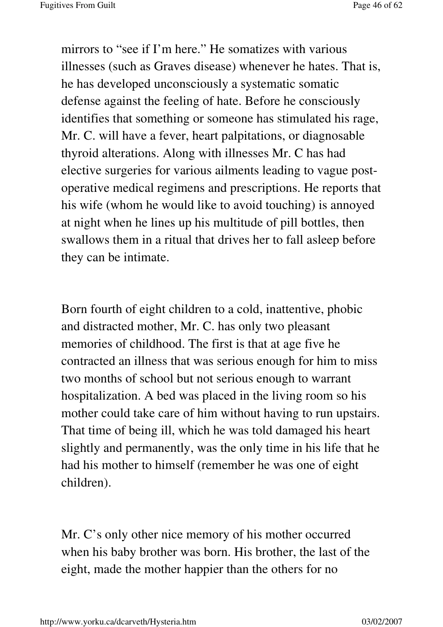mirrors to "see if I'm here." He somatizes with various illnesses (such as Graves disease) whenever he hates. That is, he has developed unconsciously a systematic somatic defense against the feeling of hate. Before he consciously identifies that something or someone has stimulated his rage, Mr. C. will have a fever, heart palpitations, or diagnosable thyroid alterations. Along with illnesses Mr. C has had elective surgeries for various ailments leading to vague postoperative medical regimens and prescriptions. He reports that his wife (whom he would like to avoid touching) is annoyed at night when he lines up his multitude of pill bottles, then swallows them in a ritual that drives her to fall asleep before they can be intimate.

Born fourth of eight children to a cold, inattentive, phobic and distracted mother, Mr. C. has only two pleasant memories of childhood. The first is that at age five he contracted an illness that was serious enough for him to miss two months of school but not serious enough to warrant hospitalization. A bed was placed in the living room so his mother could take care of him without having to run upstairs. That time of being ill, which he was told damaged his heart slightly and permanently, was the only time in his life that he had his mother to himself (remember he was one of eight children).

Mr. C's only other nice memory of his mother occurred when his baby brother was born. His brother, the last of the eight, made the mother happier than the others for no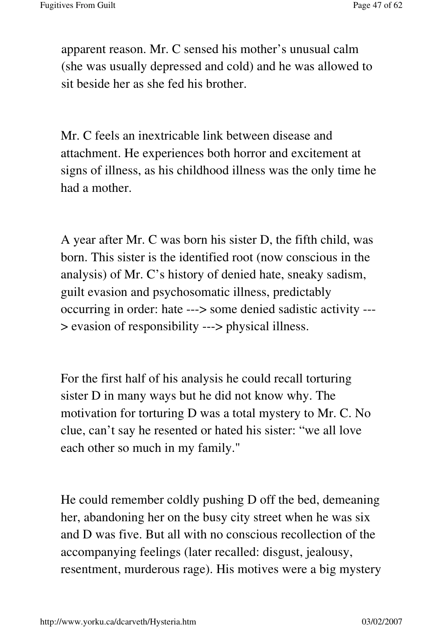apparent reason. Mr. C sensed his mother's unusual calm (she was usually depressed and cold) and he was allowed to sit beside her as she fed his brother.

Mr. C feels an inextricable link between disease and attachment. He experiences both horror and excitement at signs of illness, as his childhood illness was the only time he had a mother.

A year after Mr. C was born his sister D, the fifth child, was born. This sister is the identified root (now conscious in the analysis) of Mr. C's history of denied hate, sneaky sadism, guilt evasion and psychosomatic illness, predictably occurring in order: hate ---> some denied sadistic activity --- > evasion of responsibility ---> physical illness.

For the first half of his analysis he could recall torturing sister D in many ways but he did not know why. The motivation for torturing D was a total mystery to Mr. C. No clue, can't say he resented or hated his sister: "we all love each other so much in my family."

He could remember coldly pushing D off the bed, demeaning her, abandoning her on the busy city street when he was six and D was five. But all with no conscious recollection of the accompanying feelings (later recalled: disgust, jealousy, resentment, murderous rage). His motives were a big mystery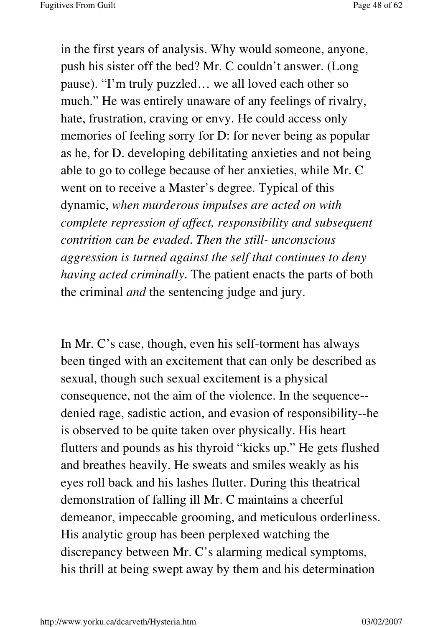in the first years of analysis. Why would someone, anyone, push his sister off the bed? Mr. C couldn't answer. (Long pause). "I'm truly puzzled… we all loved each other so much." He was entirely unaware of any feelings of rivalry, hate, frustration, craving or envy. He could access only memories of feeling sorry for D: for never being as popular as he, for D. developing debilitating anxieties and not being able to go to college because of her anxieties, while Mr. C went on to receive a Master's degree. Typical of this dynamic, *when murderous impulses are acted on with complete repression of affect, responsibility and subsequent contrition can be evaded*. *Then the still- unconscious aggression is turned against the self that continues to deny having acted criminally*. The patient enacts the parts of both the criminal *and* the sentencing judge and jury.

In Mr. C's case, though, even his self-torment has always been tinged with an excitement that can only be described as sexual, though such sexual excitement is a physical consequence, not the aim of the violence. In the sequence- denied rage, sadistic action, and evasion of responsibility--he is observed to be quite taken over physically. His heart flutters and pounds as his thyroid "kicks up." He gets flushed and breathes heavily. He sweats and smiles weakly as his eyes roll back and his lashes flutter. During this theatrical demonstration of falling ill Mr. C maintains a cheerful demeanor, impeccable grooming, and meticulous orderliness. His analytic group has been perplexed watching the discrepancy between Mr. C's alarming medical symptoms, his thrill at being swept away by them and his determination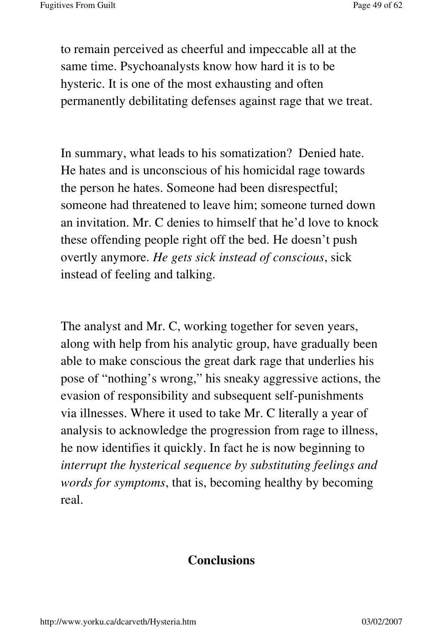to remain perceived as cheerful and impeccable all at the same time. Psychoanalysts know how hard it is to be hysteric. It is one of the most exhausting and often permanently debilitating defenses against rage that we treat.

In summary, what leads to his somatization? Denied hate. He hates and is unconscious of his homicidal rage towards the person he hates. Someone had been disrespectful; someone had threatened to leave him; someone turned down an invitation. Mr. C denies to himself that he'd love to knock these offending people right off the bed. He doesn't push overtly anymore. *He gets sick instead of conscious*, sick instead of feeling and talking.

The analyst and Mr. C, working together for seven years, along with help from his analytic group, have gradually been able to make conscious the great dark rage that underlies his pose of "nothing's wrong," his sneaky aggressive actions, the evasion of responsibility and subsequent self-punishments via illnesses. Where it used to take Mr. C literally a year of analysis to acknowledge the progression from rage to illness, he now identifies it quickly. In fact he is now beginning to *interrupt the hysterical sequence by substituting feelings and words for symptoms*, that is, becoming healthy by becoming real.

## **Conclusions**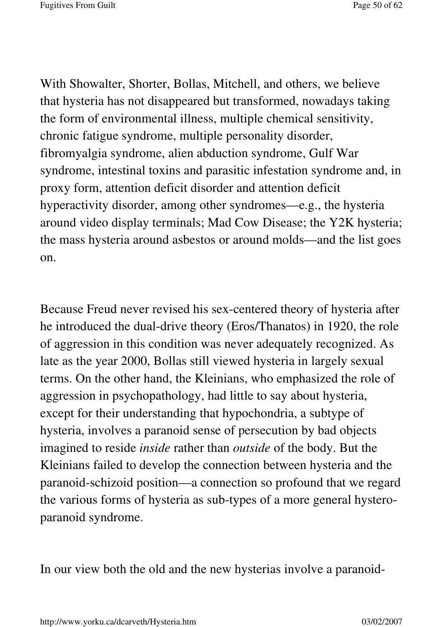With Showalter, Shorter, Bollas, Mitchell, and others, we believe that hysteria has not disappeared but transformed, nowadays taking the form of environmental illness, multiple chemical sensitivity, chronic fatigue syndrome, multiple personality disorder, fibromyalgia syndrome, alien abduction syndrome, Gulf War syndrome, intestinal toxins and parasitic infestation syndrome and, in proxy form, attention deficit disorder and attention deficit hyperactivity disorder, among other syndromes—e.g., the hysteria around video display terminals; Mad Cow Disease; the Y2K hysteria; the mass hysteria around asbestos or around molds—and the list goes on.

Because Freud never revised his sex-centered theory of hysteria after he introduced the dual-drive theory (Eros/Thanatos) in 1920, the role of aggression in this condition was never adequately recognized. As late as the year 2000, Bollas still viewed hysteria in largely sexual terms. On the other hand, the Kleinians, who emphasized the role of aggression in psychopathology, had little to say about hysteria, except for their understanding that hypochondria, a subtype of hysteria, involves a paranoid sense of persecution by bad objects imagined to reside *inside* rather than *outside* of the body. But the Kleinians failed to develop the connection between hysteria and the paranoid-schizoid position—a connection so profound that we regard the various forms of hysteria as sub-types of a more general hysteroparanoid syndrome.

In our view both the old and the new hysterias involve a paranoid-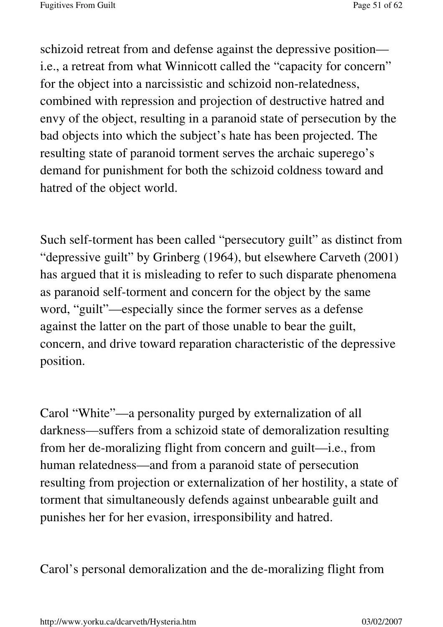schizoid retreat from and defense against the depressive position i.e., a retreat from what Winnicott called the "capacity for concern" for the object into a narcissistic and schizoid non-relatedness, combined with repression and projection of destructive hatred and envy of the object, resulting in a paranoid state of persecution by the bad objects into which the subject's hate has been projected. The resulting state of paranoid torment serves the archaic superego's demand for punishment for both the schizoid coldness toward and hatred of the object world.

Such self-torment has been called "persecutory guilt" as distinct from "depressive guilt" by Grinberg (1964), but elsewhere Carveth (2001) has argued that it is misleading to refer to such disparate phenomena as paranoid self-torment and concern for the object by the same word, "guilt"—especially since the former serves as a defense against the latter on the part of those unable to bear the guilt, concern, and drive toward reparation characteristic of the depressive position.

Carol "White"—a personality purged by externalization of all darkness—suffers from a schizoid state of demoralization resulting from her de-moralizing flight from concern and guilt—i.e., from human relatedness—and from a paranoid state of persecution resulting from projection or externalization of her hostility, a state of torment that simultaneously defends against unbearable guilt and punishes her for her evasion, irresponsibility and hatred.

Carol's personal demoralization and the de-moralizing flight from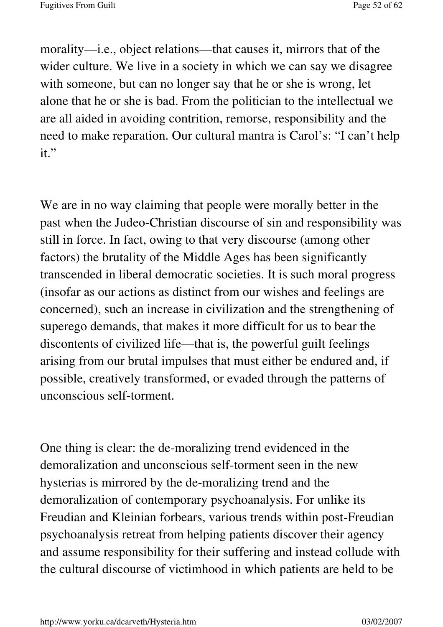morality—i.e., object relations—that causes it, mirrors that of the wider culture. We live in a society in which we can say we disagree with someone, but can no longer say that he or she is wrong, let alone that he or she is bad. From the politician to the intellectual we are all aided in avoiding contrition, remorse, responsibility and the need to make reparation. Our cultural mantra is Carol's: "I can't help it."

We are in no way claiming that people were morally better in the past when the Judeo-Christian discourse of sin and responsibility was still in force. In fact, owing to that very discourse (among other factors) the brutality of the Middle Ages has been significantly transcended in liberal democratic societies. It is such moral progress (insofar as our actions as distinct from our wishes and feelings are concerned), such an increase in civilization and the strengthening of superego demands, that makes it more difficult for us to bear the discontents of civilized life—that is, the powerful guilt feelings arising from our brutal impulses that must either be endured and, if possible, creatively transformed, or evaded through the patterns of unconscious self-torment.

One thing is clear: the de-moralizing trend evidenced in the demoralization and unconscious self-torment seen in the new hysterias is mirrored by the de-moralizing trend and the demoralization of contemporary psychoanalysis. For unlike its Freudian and Kleinian forbears, various trends within post-Freudian psychoanalysis retreat from helping patients discover their agency and assume responsibility for their suffering and instead collude with the cultural discourse of victimhood in which patients are held to be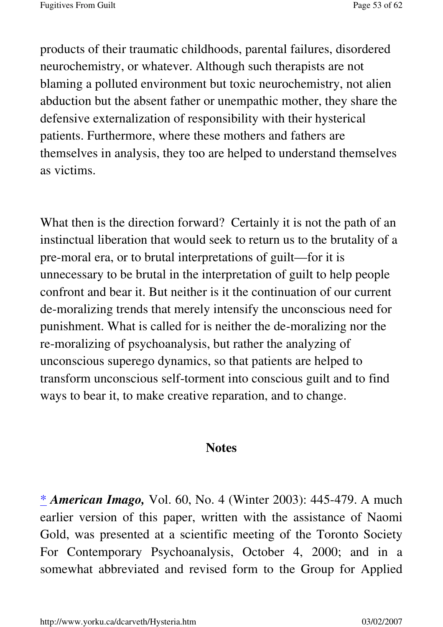products of their traumatic childhoods, parental failures, disordered neurochemistry, or whatever. Although such therapists are not blaming a polluted environment but toxic neurochemistry, not alien abduction but the absent father or unempathic mother, they share the defensive externalization of responsibility with their hysterical patients. Furthermore, where these mothers and fathers are themselves in analysis, they too are helped to understand themselves as victims.

What then is the direction forward? Certainly it is not the path of an instinctual liberation that would seek to return us to the brutality of a pre-moral era, or to brutal interpretations of guilt—for it is unnecessary to be brutal in the interpretation of guilt to help people confront and bear it. But neither is it the continuation of our current de-moralizing trends that merely intensify the unconscious need for punishment. What is called for is neither the de-moralizing nor the re-moralizing of psychoanalysis, but rather the analyzing of unconscious superego dynamics, so that patients are helped to transform unconscious self-torment into conscious guilt and to find ways to bear it, to make creative reparation, and to change.

### **Notes**

\* *American Imago,* Vol. 60, No. 4 (Winter 2003): 445-479. A much earlier version of this paper, written with the assistance of Naomi Gold, was presented at a scientific meeting of the Toronto Society For Contemporary Psychoanalysis, October 4, 2000; and in a somewhat abbreviated and revised form to the Group for Applied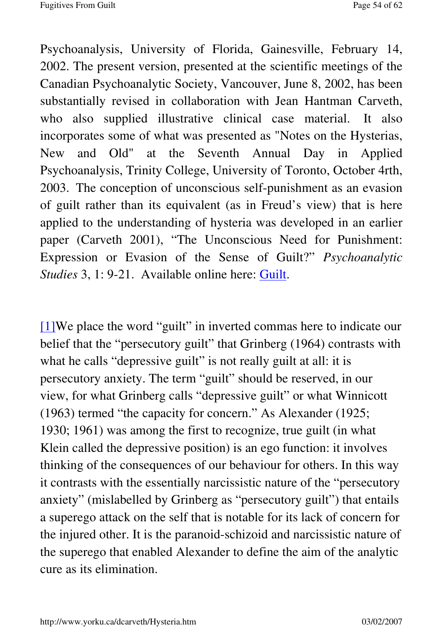Psychoanalysis, University of Florida, Gainesville, February 14, 2002. The present version, presented at the scientific meetings of the Canadian Psychoanalytic Society, Vancouver, June 8, 2002, has been substantially revised in collaboration with Jean Hantman Carveth, who also supplied illustrative clinical case material. It also incorporates some of what was presented as "Notes on the Hysterias, New and Old" at the Seventh Annual Day in Applied Psychoanalysis, Trinity College, University of Toronto, October 4rth, 2003. The conception of unconscious self-punishment as an evasion of guilt rather than its equivalent (as in Freud's view) that is here applied to the understanding of hysteria was developed in an earlier paper (Carveth 2001), "The Unconscious Need for Punishment: Expression or Evasion of the Sense of Guilt?" *Psychoanalytic Studies* 3, 1: 9-21. Available online here: Guilt.

[1]We place the word "guilt" in inverted commas here to indicate our belief that the "persecutory guilt" that Grinberg (1964) contrasts with what he calls "depressive guilt" is not really guilt at all: it is persecutory anxiety. The term "guilt" should be reserved, in our view, for what Grinberg calls "depressive guilt" or what Winnicott (1963) termed "the capacity for concern." As Alexander (1925; 1930; 1961) was among the first to recognize, true guilt (in what Klein called the depressive position) is an ego function: it involves thinking of the consequences of our behaviour for others. In this way it contrasts with the essentially narcissistic nature of the "persecutory anxiety" (mislabelled by Grinberg as "persecutory guilt") that entails a superego attack on the self that is notable for its lack of concern for the injured other. It is the paranoid-schizoid and narcissistic nature of the superego that enabled Alexander to define the aim of the analytic cure as its elimination.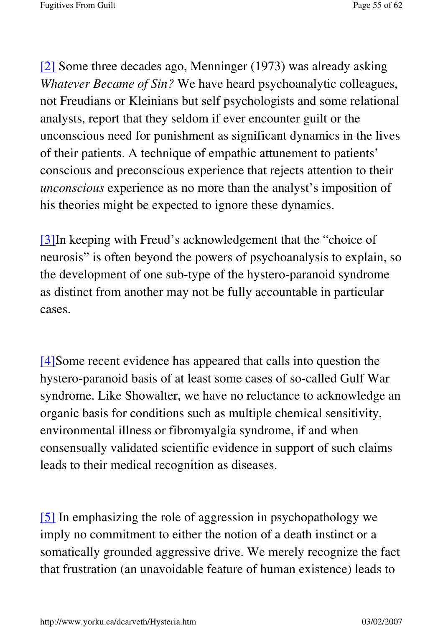[2] Some three decades ago, Menninger (1973) was already asking *Whatever Became of Sin?* We have heard psychoanalytic colleagues, not Freudians or Kleinians but self psychologists and some relational analysts, report that they seldom if ever encounter guilt or the unconscious need for punishment as significant dynamics in the lives of their patients. A technique of empathic attunement to patients' conscious and preconscious experience that rejects attention to their *unconscious* experience as no more than the analyst's imposition of his theories might be expected to ignore these dynamics.

[3]In keeping with Freud's acknowledgement that the "choice of neurosis" is often beyond the powers of psychoanalysis to explain, so the development of one sub-type of the hystero-paranoid syndrome as distinct from another may not be fully accountable in particular cases.

[4]Some recent evidence has appeared that calls into question the hystero-paranoid basis of at least some cases of so-called Gulf War syndrome. Like Showalter, we have no reluctance to acknowledge an organic basis for conditions such as multiple chemical sensitivity, environmental illness or fibromyalgia syndrome, if and when consensually validated scientific evidence in support of such claims leads to their medical recognition as diseases.

[5] In emphasizing the role of aggression in psychopathology we imply no commitment to either the notion of a death instinct or a somatically grounded aggressive drive. We merely recognize the fact that frustration (an unavoidable feature of human existence) leads to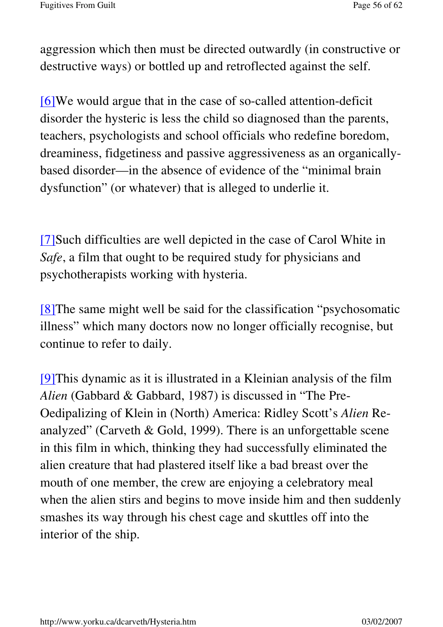aggression which then must be directed outwardly (in constructive or destructive ways) or bottled up and retroflected against the self.

[6]We would argue that in the case of so-called attention-deficit disorder the hysteric is less the child so diagnosed than the parents, teachers, psychologists and school officials who redefine boredom, dreaminess, fidgetiness and passive aggressiveness as an organicallybased disorder—in the absence of evidence of the "minimal brain dysfunction" (or whatever) that is alleged to underlie it.

[7]Such difficulties are well depicted in the case of Carol White in *Safe*, a film that ought to be required study for physicians and psychotherapists working with hysteria.

[8]The same might well be said for the classification "psychosomatic illness" which many doctors now no longer officially recognise, but continue to refer to daily.

[9]This dynamic as it is illustrated in a Kleinian analysis of the film *Alien* (Gabbard & Gabbard, 1987) is discussed in "The Pre-Oedipalizing of Klein in (North) America: Ridley Scott's *Alien* Reanalyzed" (Carveth & Gold, 1999). There is an unforgettable scene in this film in which, thinking they had successfully eliminated the alien creature that had plastered itself like a bad breast over the mouth of one member, the crew are enjoying a celebratory meal when the alien stirs and begins to move inside him and then suddenly smashes its way through his chest cage and skuttles off into the interior of the ship.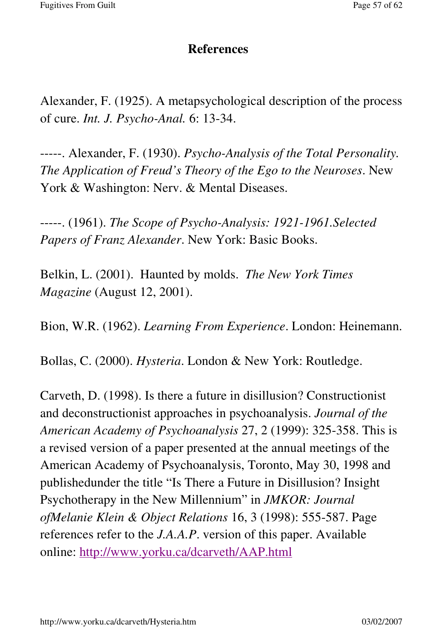#### **References**

Alexander, F. (1925). A metapsychological description of the process of cure. *Int. J. Psycho-Anal.* 6: 13-34.

-----. Alexander, F. (1930). *Psycho-Analysis of the Total Personality. The Application of Freud's Theory of the Ego to the Neuroses*. New York & Washington: Nerv. & Mental Diseases.

-----. (1961). *The Scope of Psycho-Analysis: 1921-1961.Selected Papers of Franz Alexander*. New York: Basic Books.

Belkin, L. (2001). Haunted by molds. *The New York Times Magazine* (August 12, 2001).

Bion, W.R. (1962). *Learning From Experience*. London: Heinemann.

Bollas, C. (2000). *Hysteria*. London & New York: Routledge.

Carveth, D. (1998). Is there a future in disillusion? Constructionist and deconstructionist approaches in psychoanalysis. *Journal of the American Academy of Psychoanalysis* 27, 2 (1999): 325-358. This is a revised version of a paper presented at the annual meetings of the American Academy of Psychoanalysis, Toronto, May 30, 1998 and publishedunder the title "Is There a Future in Disillusion? Insight Psychotherapy in the New Millennium" in *JMKOR: Journal ofMelanie Klein & Object Relations* 16, 3 (1998): 555-587. Page references refer to the *J.A.A.P*. version of this paper. Available online: http://www.yorku.ca/dcarveth/AAP.html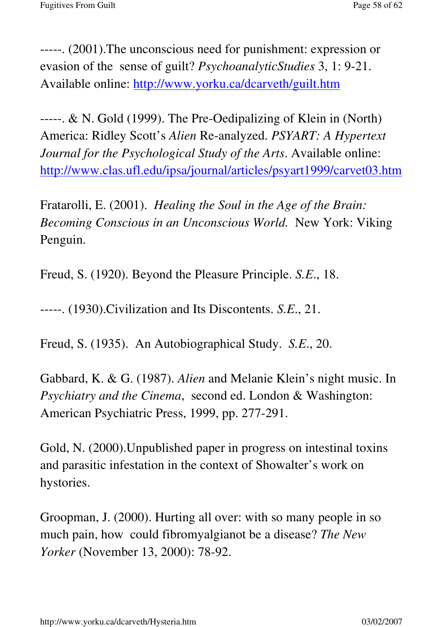-----. (2001).The unconscious need for punishment: expression or evasion of the sense of guilt? *PsychoanalyticStudies* 3, 1: 9-21. Available online: http://www.yorku.ca/dcarveth/guilt.htm

-----. & N. Gold (1999). The Pre-Oedipalizing of Klein in (North) America: Ridley Scott's *Alien* Re-analyzed. *PSYART: A Hypertext Journal for the Psychological Study of the Arts*. Available online: http://www.clas.ufl.edu/ipsa/journal/articles/psyart1999/carvet03.htm

Fratarolli, E. (2001). *Healing the Soul in the Age of the Brain: Becoming Conscious in an Unconscious World.* New York: Viking Penguin.

Freud, S. (1920). Beyond the Pleasure Principle. *S.E*., 18.

-----. (1930).Civilization and Its Discontents. *S.E*., 21.

Freud, S. (1935). An Autobiographical Study. *S.E*., 20.

Gabbard, K. & G. (1987). *Alien* and Melanie Klein's night music. In *Psychiatry and the Cinema*, second ed. London & Washington: American Psychiatric Press, 1999, pp. 277-291.

Gold, N. (2000).Unpublished paper in progress on intestinal toxins and parasitic infestation in the context of Showalter's work on hystories.

Groopman, J. (2000). Hurting all over: with so many people in so much pain, how could fibromyalgianot be a disease? *The New Yorker* (November 13, 2000): 78-92.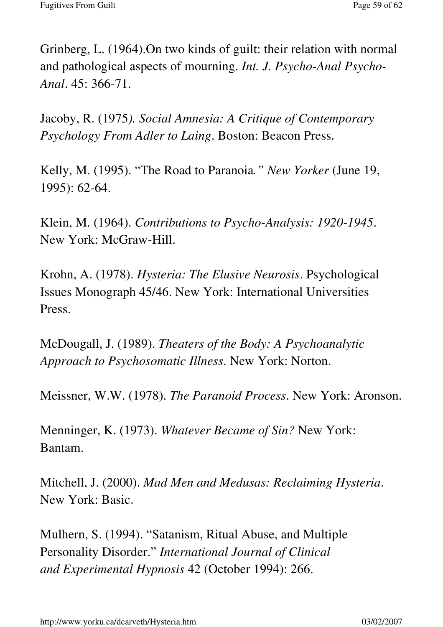Grinberg, L. (1964).On two kinds of guilt: their relation with normal and pathological aspects of mourning. *Int. J. Psycho-Anal Psycho-Anal*. 45: 366-71.

Jacoby, R. (1975*). Social Amnesia: A Critique of Contemporary Psychology From Adler to Laing*. Boston: Beacon Press.

Kelly, M. (1995). "The Road to Paranoia*." New Yorker* (June 19, 1995): 62-64.

Klein, M. (1964). *Contributions to Psycho-Analysis: 1920-1945*. New York: McGraw-Hill.

Krohn, A. (1978). *Hysteria: The Elusive Neurosis*. Psychological Issues Monograph 45/46. New York: International Universities Press.

McDougall, J. (1989). *Theaters of the Body: A Psychoanalytic Approach to Psychosomatic Illness*. New York: Norton.

Meissner, W.W. (1978). *The Paranoid Process*. New York: Aronson.

Menninger, K. (1973). *Whatever Became of Sin?* New York: Bantam.

Mitchell, J. (2000). *Mad Men and Medusas: Reclaiming Hysteria*. New York: Basic.

Mulhern, S. (1994). "Satanism, Ritual Abuse, and Multiple Personality Disorder." *International Journal of Clinical and Experimental Hypnosis* 42 (October 1994): 266.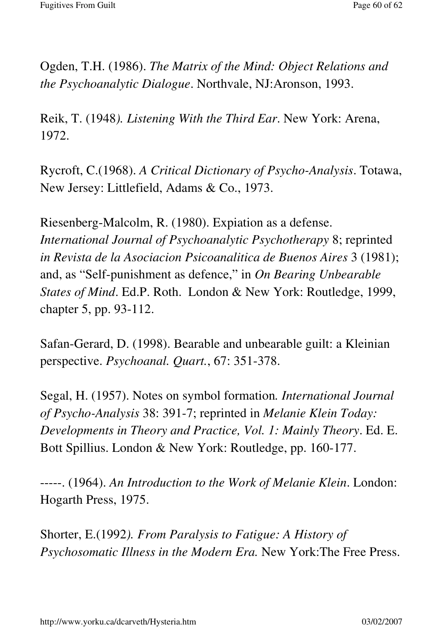Ogden, T.H. (1986). *The Matrix of the Mind: Object Relations and the Psychoanalytic Dialogue*. Northvale, NJ:Aronson, 1993.

Reik, T. (1948*). Listening With the Third Ear*. New York: Arena, 1972.

Rycroft, C.(1968). *A Critical Dictionary of Psycho-Analysis*. Totawa, New Jersey: Littlefield, Adams & Co., 1973.

Riesenberg-Malcolm, R. (1980). Expiation as a defense. *International Journal of Psychoanalytic Psychotherapy* 8; reprinted *in Revista de la Asociacion Psicoanalitica de Buenos Aires* 3 (1981); and, as "Self-punishment as defence," in *On Bearing Unbearable States of Mind*. Ed.P. Roth. London & New York: Routledge, 1999, chapter 5, pp. 93-112.

Safan-Gerard, D. (1998). Bearable and unbearable guilt: a Kleinian perspective. *Psychoanal. Quart.*, 67: 351-378.

Segal, H. (1957). Notes on symbol formation*. International Journal of Psycho-Analysis* 38: 391-7; reprinted in *Melanie Klein Today: Developments in Theory and Practice, Vol. 1: Mainly Theory*. Ed. E. Bott Spillius. London & New York: Routledge, pp. 160-177.

-----. (1964). *An Introduction to the Work of Melanie Klein*. London: Hogarth Press, 1975.

Shorter, E.(1992*). From Paralysis to Fatigue: A History of Psychosomatic Illness in the Modern Era.* New York:The Free Press.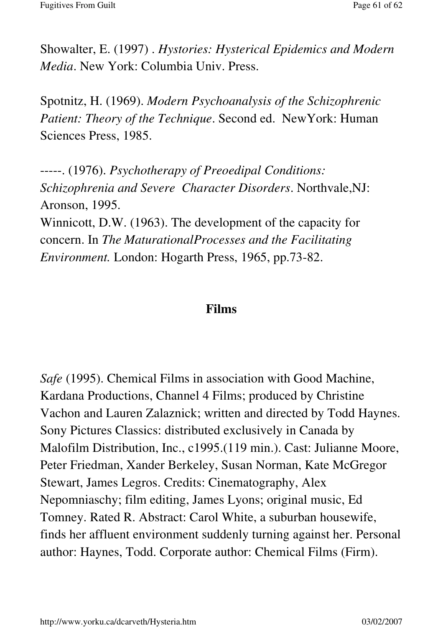Showalter, E. (1997) . *Hystories: Hysterical Epidemics and Modern Media*. New York: Columbia Univ. Press.

Spotnitz, H. (1969). *Modern Psychoanalysis of the Schizophrenic Patient: Theory of the Technique*. Second ed. NewYork: Human Sciences Press, 1985.

-----. (1976). *Psychotherapy of Preoedipal Conditions: Schizophrenia and Severe Character Disorders*. Northvale,NJ: Aronson, 1995. Winnicott, D.W. (1963). The development of the capacity for concern. In *The MaturationalProcesses and the Facilitating Environment.* London: Hogarth Press, 1965, pp.73-82.

## **Films**

*Safe* (1995). Chemical Films in association with Good Machine, Kardana Productions, Channel 4 Films; produced by Christine Vachon and Lauren Zalaznick; written and directed by Todd Haynes. Sony Pictures Classics: distributed exclusively in Canada by Malofilm Distribution, Inc., c1995.(119 min.). Cast: Julianne Moore, Peter Friedman, Xander Berkeley, Susan Norman, Kate McGregor Stewart, James Legros. Credits: Cinematography, Alex Nepomniaschy; film editing, James Lyons; original music, Ed Tomney. Rated R. Abstract: Carol White, a suburban housewife, finds her affluent environment suddenly turning against her. Personal author: Haynes, Todd. Corporate author: Chemical Films (Firm).